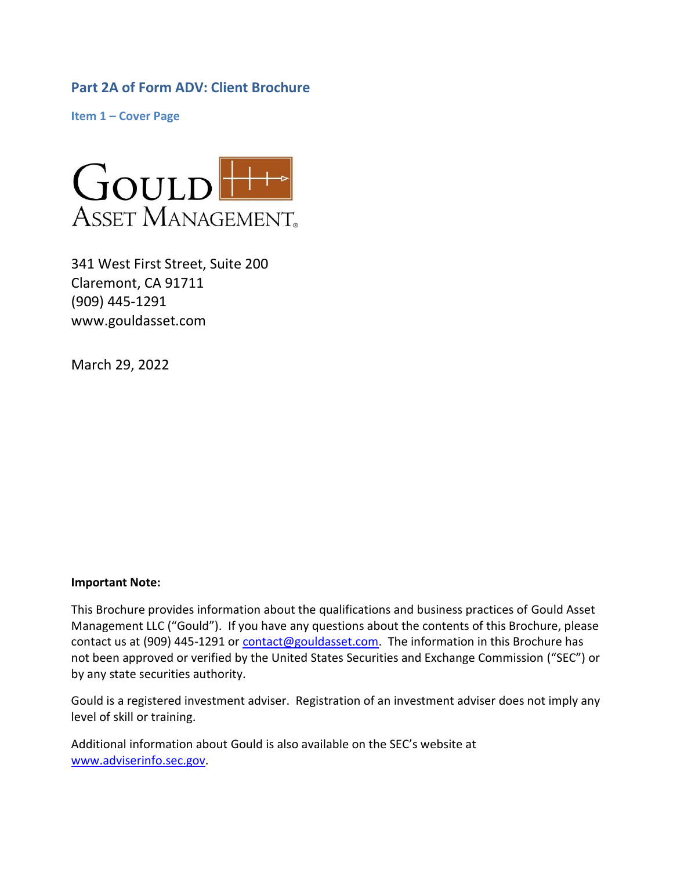<span id="page-0-0"></span>**Part 2A of Form ADV: Client Brochure**

<span id="page-0-1"></span>**Item 1 – Cover Page**



341 West First Street, Suite 200 Claremont, CA 91711 (909) 445-1291 www.gouldasset.com

March 29, 2022

#### **Important Note:**

This Brochure provides information about the qualifications and business practices of Gould Asset Management LLC ("Gould"). If you have any questions about the contents of this Brochure, please contact us at (909) 445-1291 or [contact@gouldasset.com.](mailto:contact@gouldasset.com) The information in this Brochure has not been approved or verified by the United States Securities and Exchange Commission ("SEC") or by any state securities authority.

Gould is a registered investment adviser. Registration of an investment adviser does not imply any level of skill or training.

Additional information about Gould is also available on the SEC's website at [www.adviserinfo.sec.gov.](http://www.adviserinfo.sec.gov/)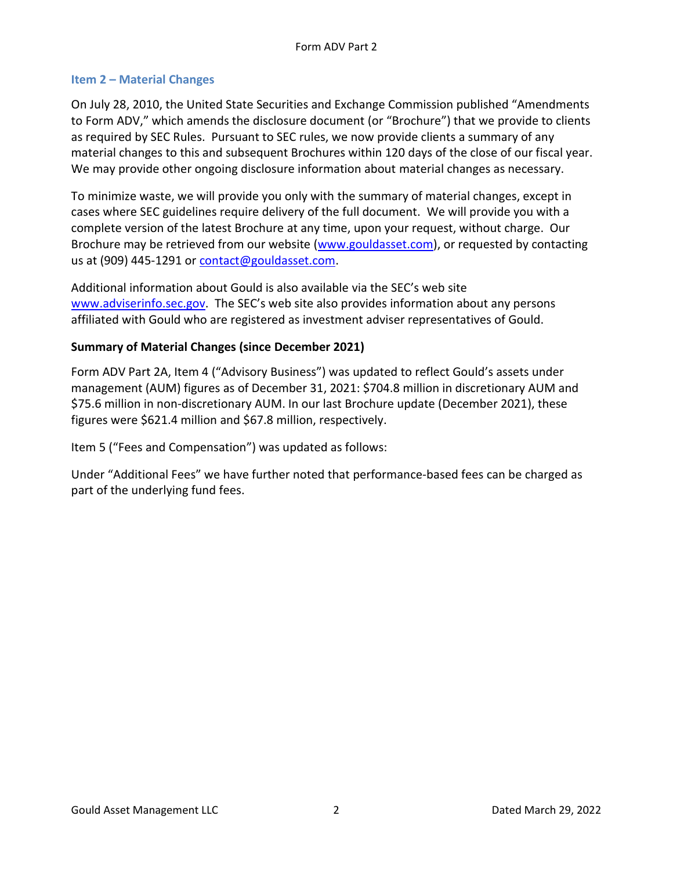### <span id="page-1-0"></span>**Item 2 – Material Changes**

On July 28, 2010, the United State Securities and Exchange Commission published "Amendments to Form ADV," which amends the disclosure document (or "Brochure") that we provide to clients as required by SEC Rules. Pursuant to SEC rules, we now provide clients a summary of any material changes to this and subsequent Brochures within 120 days of the close of our fiscal year. We may provide other ongoing disclosure information about material changes as necessary.

To minimize waste, we will provide you only with the summary of material changes, except in cases where SEC guidelines require delivery of the full document. We will provide you with a complete version of the latest Brochure at any time, upon your request, without charge. Our Brochure may be retrieved from our website [\(www.gouldasset.com\)](http://www.gouldasset.com/), or requested by contacting us at (909) 445-1291 or [contact@gouldasset.com.](mailto:contact@gouldasset.com)

Additional information about Gould is also available via the SEC's web site [www.adviserinfo.sec.gov](http://www.adviserinfo.sec.gov/). The SEC's web site also provides information about any persons affiliated with Gould who are registered as investment adviser representatives of Gould.

### <span id="page-1-1"></span>**Summary of Material Changes (since December 2021)**

Form ADV Part 2A, Item 4 ("Advisory Business") was updated to reflect Gould's assets under management (AUM) figures as of December 31, 2021: \$704.8 million in discretionary AUM and \$75.6 million in non-discretionary AUM. In our last Brochure update (December 2021), these figures were \$621.4 million and \$67.8 million, respectively.

Item 5 ("Fees and Compensation") was updated as follows:

Under "Additional Fees" we have further noted that performance-based fees can be charged as part of the underlying fund fees.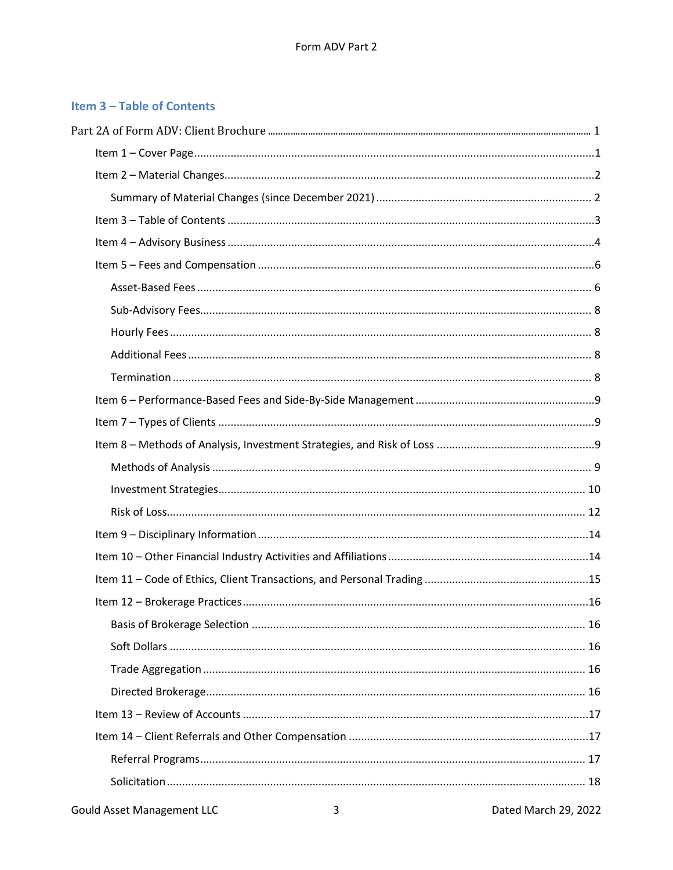# <span id="page-2-0"></span>Item 3 - Table of Contents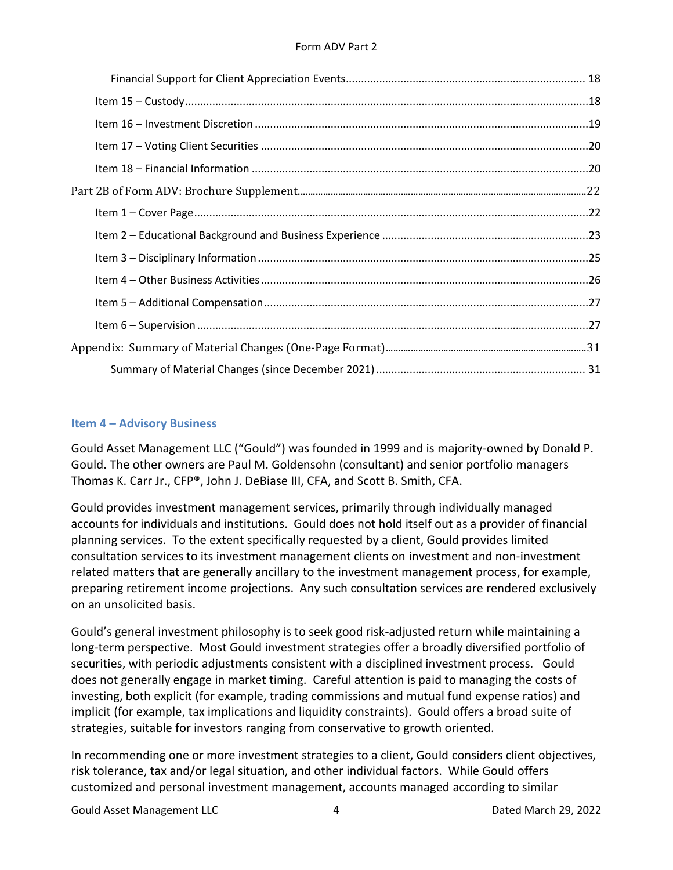#### Form ADV Part 2

### <span id="page-3-0"></span>**Item 4 – Advisory Business**

Gould Asset Management LLC ("Gould") was founded in 1999 and is majority-owned by Donald P. Gould. The other owners are Paul M. Goldensohn (consultant) and senior portfolio managers Thomas K. Carr Jr., CFP®, John J. DeBiase III, CFA, and Scott B. Smith, CFA.

Gould provides investment management services, primarily through individually managed accounts for individuals and institutions. Gould does not hold itself out as a provider of financial planning services. To the extent specifically requested by a client, Gould provides limited consultation services to its investment management clients on investment and non-investment related matters that are generally ancillary to the investment management process, for example, preparing retirement income projections. Any such consultation services are rendered exclusively on an unsolicited basis.

Gould's general investment philosophy is to seek good risk-adjusted return while maintaining a long-term perspective. Most Gould investment strategies offer a broadly diversified portfolio of securities, with periodic adjustments consistent with a disciplined investment process. Gould does not generally engage in market timing. Careful attention is paid to managing the costs of investing, both explicit (for example, trading commissions and mutual fund expense ratios) and implicit (for example, tax implications and liquidity constraints). Gould offers a broad suite of strategies, suitable for investors ranging from conservative to growth oriented.

In recommending one or more investment strategies to a client, Gould considers client objectives, risk tolerance, tax and/or legal situation, and other individual factors. While Gould offers customized and personal investment management, accounts managed according to similar

Gould Asset Management LLC and the control of the 4 and 29, 2022 and 29, 2022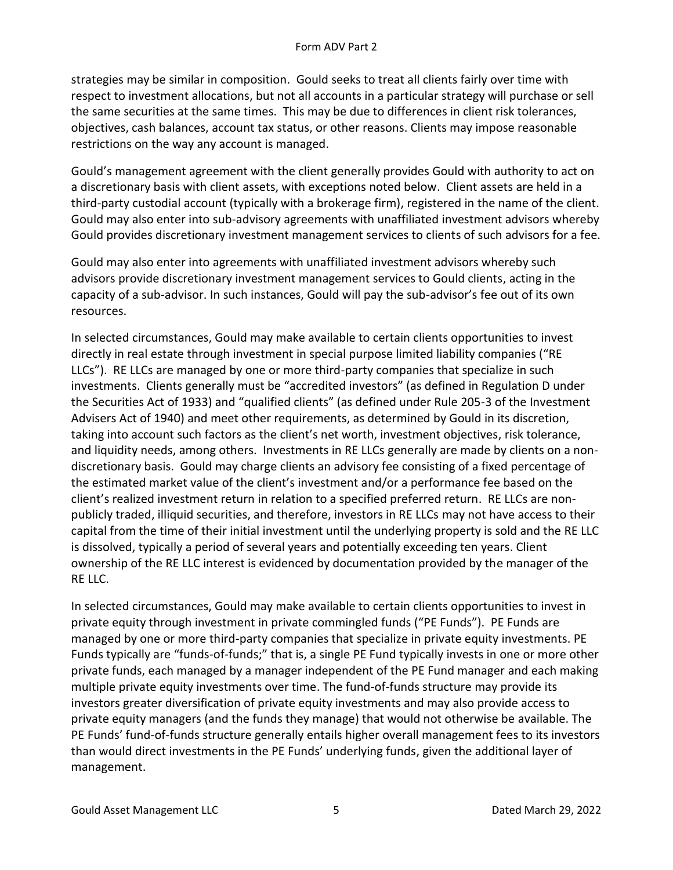strategies may be similar in composition. Gould seeks to treat all clients fairly over time with respect to investment allocations, but not all accounts in a particular strategy will purchase or sell the same securities at the same times. This may be due to differences in client risk tolerances, objectives, cash balances, account tax status, or other reasons. Clients may impose reasonable restrictions on the way any account is managed.

Gould's management agreement with the client generally provides Gould with authority to act on a discretionary basis with client assets, with exceptions noted below. Client assets are held in a third-party custodial account (typically with a brokerage firm), registered in the name of the client. Gould may also enter into sub-advisory agreements with unaffiliated investment advisors whereby Gould provides discretionary investment management services to clients of such advisors for a fee.

Gould may also enter into agreements with unaffiliated investment advisors whereby such advisors provide discretionary investment management services to Gould clients, acting in the capacity of a sub-advisor. In such instances, Gould will pay the sub-advisor's fee out of its own resources.

In selected circumstances, Gould may make available to certain clients opportunities to invest directly in real estate through investment in special purpose limited liability companies ("RE LLCs"). RE LLCs are managed by one or more third-party companies that specialize in such investments. Clients generally must be "accredited investors" (as defined in Regulation D under the Securities Act of 1933) and "qualified clients" (as defined under Rule 205-3 of the Investment Advisers Act of 1940) and meet other requirements, as determined by Gould in its discretion, taking into account such factors as the client's net worth, investment objectives, risk tolerance, and liquidity needs, among others. Investments in RE LLCs generally are made by clients on a nondiscretionary basis. Gould may charge clients an advisory fee consisting of a fixed percentage of the estimated market value of the client's investment and/or a performance fee based on the client's realized investment return in relation to a specified preferred return. RE LLCs are nonpublicly traded, illiquid securities, and therefore, investors in RE LLCs may not have access to their capital from the time of their initial investment until the underlying property is sold and the RE LLC is dissolved, typically a period of several years and potentially exceeding ten years. Client ownership of the RE LLC interest is evidenced by documentation provided by the manager of the RE LLC.

In selected circumstances, Gould may make available to certain clients opportunities to invest in private equity through investment in private commingled funds ("PE Funds"). PE Funds are managed by one or more third-party companies that specialize in private equity investments. PE Funds typically are "funds-of-funds;" that is, a single PE Fund typically invests in one or more other private funds, each managed by a manager independent of the PE Fund manager and each making multiple private equity investments over time. The fund-of-funds structure may provide its investors greater diversification of private equity investments and may also provide access to private equity managers (and the funds they manage) that would not otherwise be available. The PE Funds' fund-of-funds structure generally entails higher overall management fees to its investors than would direct investments in the PE Funds' underlying funds, given the additional layer of management.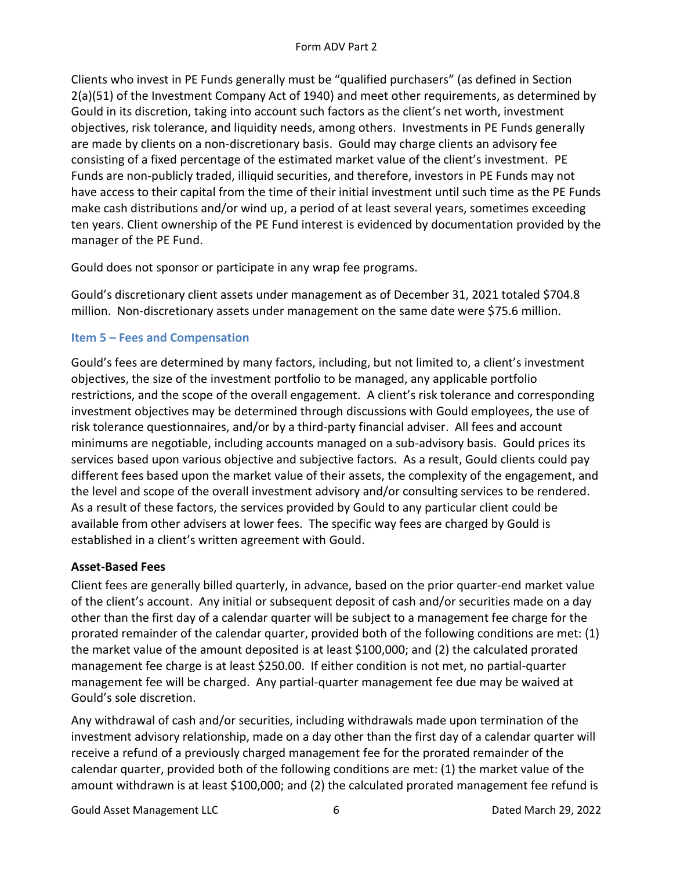Clients who invest in PE Funds generally must be "qualified purchasers" (as defined in Section 2(a)(51) of the Investment Company Act of 1940) and meet other requirements, as determined by Gould in its discretion, taking into account such factors as the client's net worth, investment objectives, risk tolerance, and liquidity needs, among others. Investments in PE Funds generally are made by clients on a non-discretionary basis. Gould may charge clients an advisory fee consisting of a fixed percentage of the estimated market value of the client's investment. PE Funds are non-publicly traded, illiquid securities, and therefore, investors in PE Funds may not have access to their capital from the time of their initial investment until such time as the PE Funds make cash distributions and/or wind up, a period of at least several years, sometimes exceeding ten years. Client ownership of the PE Fund interest is evidenced by documentation provided by the manager of the PE Fund.

Gould does not sponsor or participate in any wrap fee programs.

Gould's discretionary client assets under management as of December 31, 2021 totaled \$704.8 million. Non-discretionary assets under management on the same date were \$75.6 million.

# <span id="page-5-0"></span>**Item 5 – Fees and Compensation**

Gould's fees are determined by many factors, including, but not limited to, a client's investment objectives, the size of the investment portfolio to be managed, any applicable portfolio restrictions, and the scope of the overall engagement. A client's risk tolerance and corresponding investment objectives may be determined through discussions with Gould employees, the use of risk tolerance questionnaires, and/or by a third-party financial adviser. All fees and account minimums are negotiable, including accounts managed on a sub-advisory basis. Gould prices its services based upon various objective and subjective factors. As a result, Gould clients could pay different fees based upon the market value of their assets, the complexity of the engagement, and the level and scope of the overall investment advisory and/or consulting services to be rendered. As a result of these factors, the services provided by Gould to any particular client could be available from other advisers at lower fees. The specific way fees are charged by Gould is established in a client's written agreement with Gould.

# <span id="page-5-1"></span>**Asset-Based Fees**

Client fees are generally billed quarterly, in advance, based on the prior quarter-end market value of the client's account. Any initial or subsequent deposit of cash and/or securities made on a day other than the first day of a calendar quarter will be subject to a management fee charge for the prorated remainder of the calendar quarter, provided both of the following conditions are met: (1) the market value of the amount deposited is at least \$100,000; and (2) the calculated prorated management fee charge is at least \$250.00. If either condition is not met, no partial-quarter management fee will be charged. Any partial-quarter management fee due may be waived at Gould's sole discretion.

Any withdrawal of cash and/or securities, including withdrawals made upon termination of the investment advisory relationship, made on a day other than the first day of a calendar quarter will receive a refund of a previously charged management fee for the prorated remainder of the calendar quarter, provided both of the following conditions are met: (1) the market value of the amount withdrawn is at least \$100,000; and (2) the calculated prorated management fee refund is

Gould Asset Management LLC and the control of the Gould Asset Management LLC and the Control of the Dated March 29, 2022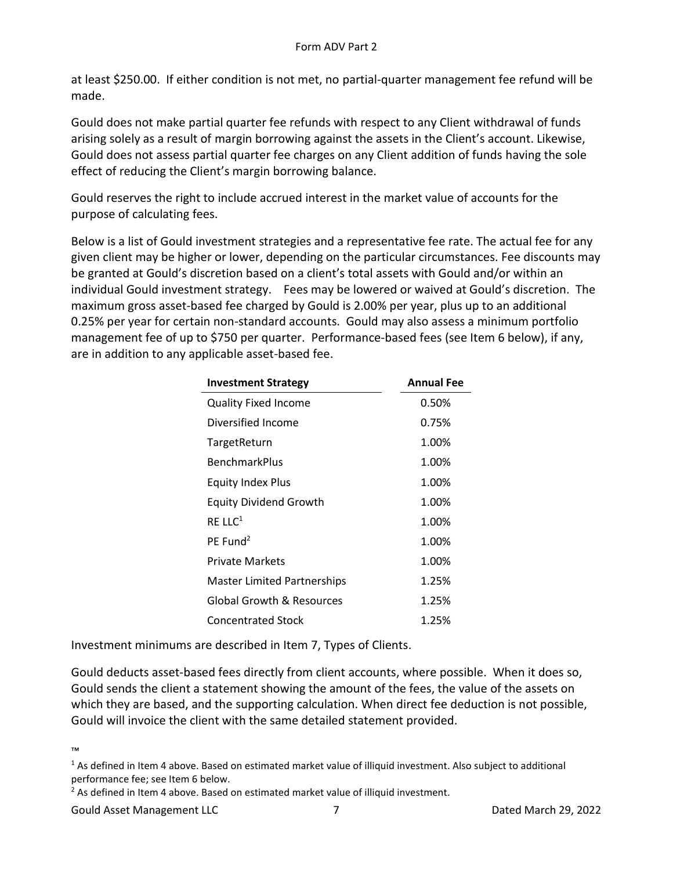at least \$250.00. If either condition is not met, no partial-quarter management fee refund will be made.

Gould does not make partial quarter fee refunds with respect to any Client withdrawal of funds arising solely as a result of margin borrowing against the assets in the Client's account. Likewise, Gould does not assess partial quarter fee charges on any Client addition of funds having the sole effect of reducing the Client's margin borrowing balance.

Gould reserves the right to include accrued interest in the market value of accounts for the purpose of calculating fees.

Below is a list of Gould investment strategies and a representative fee rate. The actual fee for any given client may be higher or lower, depending on the particular circumstances. Fee discounts may be granted at Gould's discretion based on a client's total assets with Gould and/or within an individual Gould investment strategy. Fees may be lowered or waived at Gould's discretion. The maximum gross asset-based fee charged by Gould is 2.00% per year, plus up to an additional 0.25% per year for certain non-standard accounts. Gould may also assess a minimum portfolio management fee of up to \$750 per quarter. Performance-based fees (see Item 6 below), if any, are in addition to any applicable asset-based fee.

| <b>Investment Strategy</b>    | <b>Annual Fee</b> |
|-------------------------------|-------------------|
| <b>Quality Fixed Income</b>   | 0.50%             |
| Diversified Income            | 0.75%             |
| TargetReturn                  | 1.00%             |
| <b>BenchmarkPlus</b>          | 1.00%             |
| <b>Equity Index Plus</b>      | 1.00%             |
| <b>Equity Dividend Growth</b> | 1.00%             |
| RE LL $C^1$                   | 1.00%             |
| $PE$ Fund <sup>2</sup>        | 1.00%             |
| <b>Private Markets</b>        | 1.00%             |
| Master Limited Partnerships   | 1.25%             |
| Global Growth & Resources     | 1.25%             |
| <b>Concentrated Stock</b>     | 1.25%             |

Investment minimums are described in Item 7, Types of Clients.

Gould deducts asset-based fees directly from client accounts, where possible. When it does so, Gould sends the client a statement showing the amount of the fees, the value of the assets on which they are based, and the supporting calculation. When direct fee deduction is not possible, Gould will invoice the client with the same detailed statement provided.

<sup>™</sup>

<sup>&</sup>lt;sup>1</sup> As defined in Item 4 above. Based on estimated market value of illiquid investment. Also subject to additional performance fee; see Item 6 below.

 $2$  As defined in Item 4 above. Based on estimated market value of illiquid investment.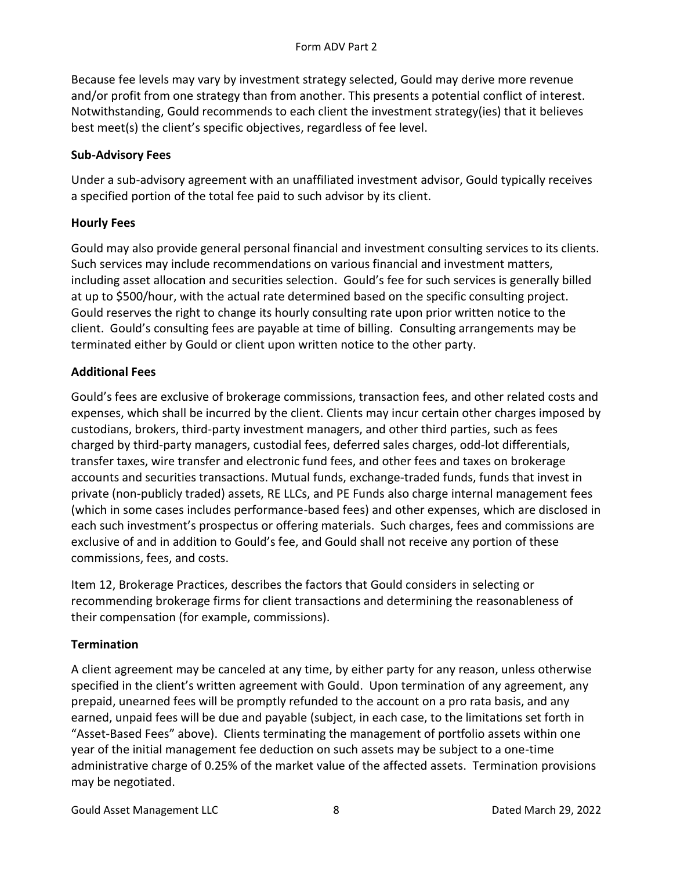Because fee levels may vary by investment strategy selected, Gould may derive more revenue and/or profit from one strategy than from another. This presents a potential conflict of interest. Notwithstanding, Gould recommends to each client the investment strategy(ies) that it believes best meet(s) the client's specific objectives, regardless of fee level.

# <span id="page-7-0"></span>**Sub-Advisory Fees**

Under a sub-advisory agreement with an unaffiliated investment advisor, Gould typically receives a specified portion of the total fee paid to such advisor by its client.

# <span id="page-7-1"></span>**Hourly Fees**

Gould may also provide general personal financial and investment consulting services to its clients. Such services may include recommendations on various financial and investment matters, including asset allocation and securities selection. Gould's fee for such services is generally billed at up to \$500/hour, with the actual rate determined based on the specific consulting project. Gould reserves the right to change its hourly consulting rate upon prior written notice to the client. Gould's consulting fees are payable at time of billing. Consulting arrangements may be terminated either by Gould or client upon written notice to the other party.

# <span id="page-7-2"></span>**Additional Fees**

Gould's fees are exclusive of brokerage commissions, transaction fees, and other related costs and expenses, which shall be incurred by the client. Clients may incur certain other charges imposed by custodians, brokers, third-party investment managers, and other third parties, such as fees charged by third-party managers, custodial fees, deferred sales charges, odd-lot differentials, transfer taxes, wire transfer and electronic fund fees, and other fees and taxes on brokerage accounts and securities transactions. Mutual funds, exchange-traded funds, funds that invest in private (non-publicly traded) assets, RE LLCs, and PE Funds also charge internal management fees (which in some cases includes performance-based fees) and other expenses, which are disclosed in each such investment's prospectus or offering materials. Such charges, fees and commissions are exclusive of and in addition to Gould's fee, and Gould shall not receive any portion of these commissions, fees, and costs.

Item 12, Brokerage Practices, describes the factors that Gould considers in selecting or recommending brokerage firms for client transactions and determining the reasonableness of their compensation (for example, commissions).

# <span id="page-7-3"></span>**Termination**

A client agreement may be canceled at any time, by either party for any reason, unless otherwise specified in the client's written agreement with Gould. Upon termination of any agreement, any prepaid, unearned fees will be promptly refunded to the account on a pro rata basis, and any earned, unpaid fees will be due and payable (subject, in each case, to the limitations set forth in "Asset-Based Fees" above). Clients terminating the management of portfolio assets within one year of the initial management fee deduction on such assets may be subject to a one-time administrative charge of 0.25% of the market value of the affected assets. Termination provisions may be negotiated.

Gould Asset Management LLC and B and B and B and B and B and B and B and B and B and B and B and B and B and B and B and B and B and B and B and B and B and B and B and B and B and B and B and B and B and B and B and B and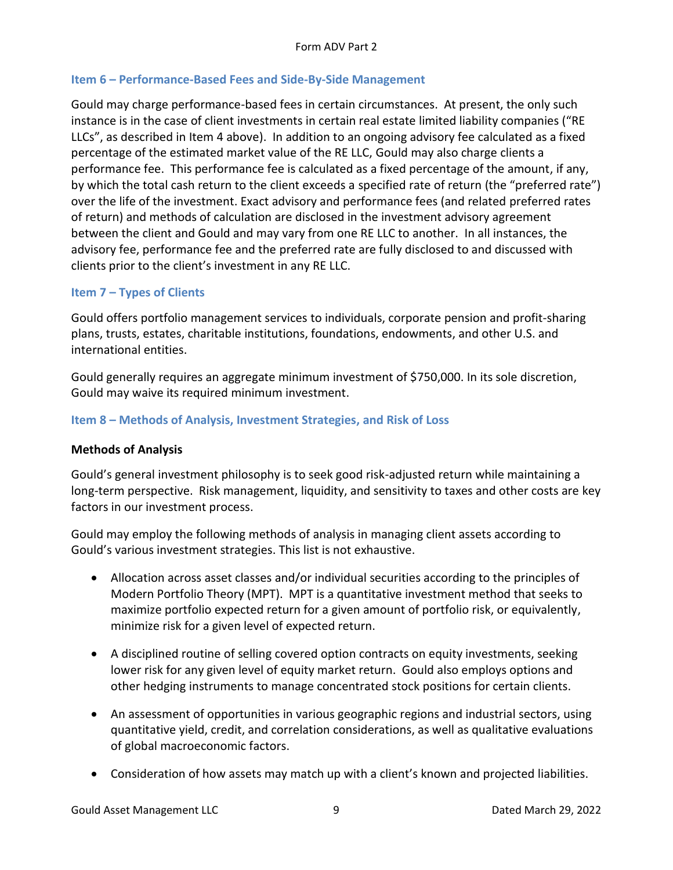### <span id="page-8-0"></span>**Item 6 – Performance-Based Fees and Side-By-Side Management**

Gould may charge performance-based fees in certain circumstances. At present, the only such instance is in the case of client investments in certain real estate limited liability companies ("RE LLCs", as described in Item 4 above). In addition to an ongoing advisory fee calculated as a fixed percentage of the estimated market value of the RE LLC, Gould may also charge clients a performance fee. This performance fee is calculated as a fixed percentage of the amount, if any, by which the total cash return to the client exceeds a specified rate of return (the "preferred rate") over the life of the investment. Exact advisory and performance fees (and related preferred rates of return) and methods of calculation are disclosed in the investment advisory agreement between the client and Gould and may vary from one RE LLC to another. In all instances, the advisory fee, performance fee and the preferred rate are fully disclosed to and discussed with clients prior to the client's investment in any RE LLC.

### <span id="page-8-1"></span>**Item 7 – Types of Clients**

Gould offers portfolio management services to individuals, corporate pension and profit-sharing plans, trusts, estates, charitable institutions, foundations, endowments, and other U.S. and international entities.

Gould generally requires an aggregate minimum investment of \$750,000. In its sole discretion, Gould may waive its required minimum investment.

### <span id="page-8-2"></span>**Item 8 – Methods of Analysis, Investment Strategies, and Risk of Loss**

### <span id="page-8-3"></span>**Methods of Analysis**

Gould's general investment philosophy is to seek good risk-adjusted return while maintaining a long-term perspective. Risk management, liquidity, and sensitivity to taxes and other costs are key factors in our investment process.

Gould may employ the following methods of analysis in managing client assets according to Gould's various investment strategies. This list is not exhaustive.

- Allocation across asset classes and/or individual securities according to the principles of Modern Portfolio Theory (MPT). MPT is a quantitative investment method that seeks to maximize portfolio expected return for a given amount of portfolio risk, or equivalently, minimize risk for a given level of expected return.
- A disciplined routine of selling covered option contracts on equity investments, seeking lower risk for any given level of equity market return. Gould also employs options and other hedging instruments to manage concentrated stock positions for certain clients.
- An assessment of opportunities in various geographic regions and industrial sectors, using quantitative yield, credit, and correlation considerations, as well as qualitative evaluations of global macroeconomic factors.
- Consideration of how assets may match up with a client's known and projected liabilities.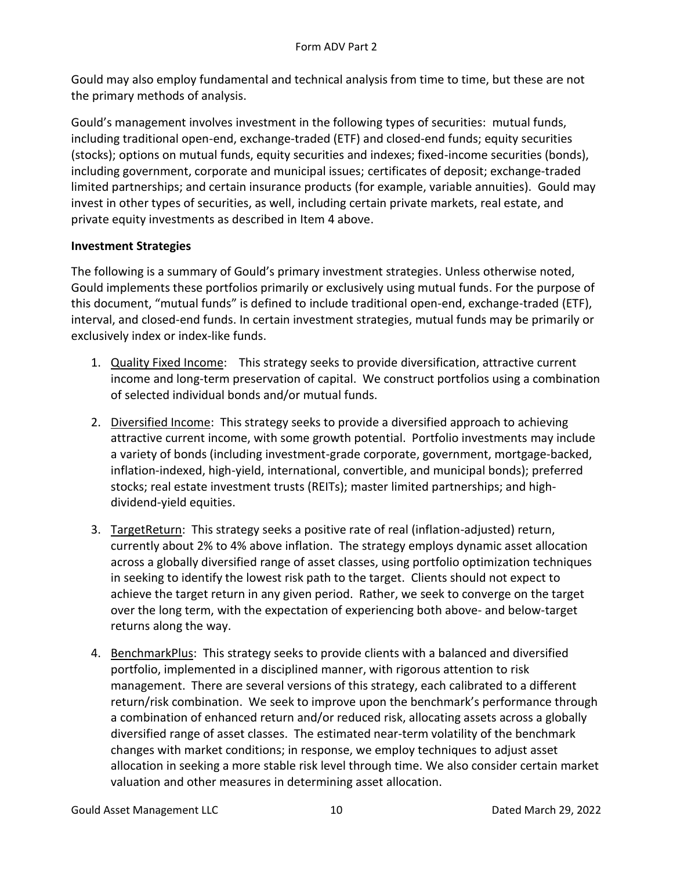Gould may also employ fundamental and technical analysis from time to time, but these are not the primary methods of analysis.

Gould's management involves investment in the following types of securities: mutual funds, including traditional open-end, exchange-traded (ETF) and closed-end funds; equity securities (stocks); options on mutual funds, equity securities and indexes; fixed-income securities (bonds), including government, corporate and municipal issues; certificates of deposit; exchange-traded limited partnerships; and certain insurance products (for example, variable annuities). Gould may invest in other types of securities, as well, including certain private markets, real estate, and private equity investments as described in Item 4 above.

### <span id="page-9-0"></span>**Investment Strategies**

The following is a summary of Gould's primary investment strategies. Unless otherwise noted, Gould implements these portfolios primarily or exclusively using mutual funds. For the purpose of this document, "mutual funds" is defined to include traditional open-end, exchange-traded (ETF), interval, and closed-end funds. In certain investment strategies, mutual funds may be primarily or exclusively index or index-like funds.

- 1. Quality Fixed Income: This strategy seeks to provide diversification, attractive current income and long-term preservation of capital. We construct portfolios using a combination of selected individual bonds and/or mutual funds.
- 2. Diversified Income: This strategy seeks to provide a diversified approach to achieving attractive current income, with some growth potential. Portfolio investments may include a variety of bonds (including investment-grade corporate, government, mortgage-backed, inflation-indexed, high-yield, international, convertible, and municipal bonds); preferred stocks; real estate investment trusts (REITs); master limited partnerships; and highdividend-yield equities.
- 3. TargetReturn: This strategy seeks a positive rate of real (inflation-adjusted) return, currently about 2% to 4% above inflation. The strategy employs dynamic asset allocation across a globally diversified range of asset classes, using portfolio optimization techniques in seeking to identify the lowest risk path to the target. Clients should not expect to achieve the target return in any given period. Rather, we seek to converge on the target over the long term, with the expectation of experiencing both above- and below-target returns along the way.
- 4. BenchmarkPlus: This strategy seeks to provide clients with a balanced and diversified portfolio, implemented in a disciplined manner, with rigorous attention to risk management. There are several versions of this strategy, each calibrated to a different return/risk combination. We seek to improve upon the benchmark's performance through a combination of enhanced return and/or reduced risk, allocating assets across a globally diversified range of asset classes. The estimated near-term volatility of the benchmark changes with market conditions; in response, we employ techniques to adjust asset allocation in seeking a more stable risk level through time. We also consider certain market valuation and other measures in determining asset allocation.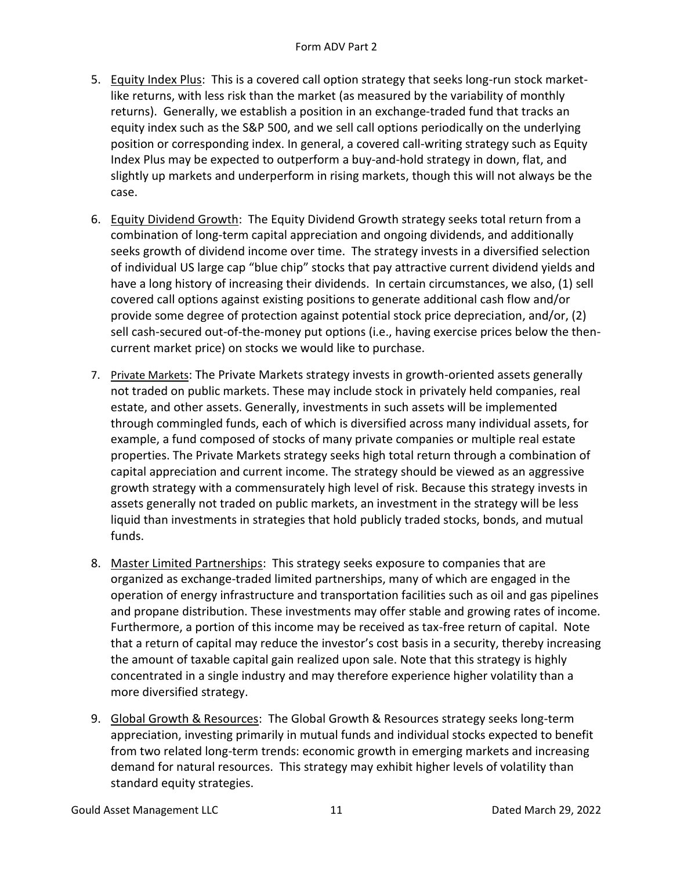- 5. Equity Index Plus: This is a covered call option strategy that seeks long-run stock marketlike returns, with less risk than the market (as measured by the variability of monthly returns). Generally, we establish a position in an exchange-traded fund that tracks an equity index such as the S&P 500, and we sell call options periodically on the underlying position or corresponding index. In general, a covered call-writing strategy such as Equity Index Plus may be expected to outperform a buy-and-hold strategy in down, flat, and slightly up markets and underperform in rising markets, though this will not always be the case.
- 6. Equity Dividend Growth: The Equity Dividend Growth strategy seeks total return from a combination of long-term capital appreciation and ongoing dividends, and additionally seeks growth of dividend income over time. The strategy invests in a diversified selection of individual US large cap "blue chip" stocks that pay attractive current dividend yields and have a long history of increasing their dividends. In certain circumstances, we also, (1) sell covered call options against existing positions to generate additional cash flow and/or provide some degree of protection against potential stock price depreciation, and/or, (2) sell cash-secured out-of-the-money put options (i.e., having exercise prices below the thencurrent market price) on stocks we would like to purchase.
- 7. Private Markets: The Private Markets strategy invests in growth-oriented assets generally not traded on public markets. These may include stock in privately held companies, real estate, and other assets. Generally, investments in such assets will be implemented through commingled funds, each of which is diversified across many individual assets, for example, a fund composed of stocks of many private companies or multiple real estate properties. The Private Markets strategy seeks high total return through a combination of capital appreciation and current income. The strategy should be viewed as an aggressive growth strategy with a commensurately high level of risk. Because this strategy invests in assets generally not traded on public markets, an investment in the strategy will be less liquid than investments in strategies that hold publicly traded stocks, bonds, and mutual funds.
- 8. Master Limited Partnerships: This strategy seeks exposure to companies that are organized as exchange-traded limited partnerships, many of which are engaged in the operation of energy infrastructure and transportation facilities such as oil and gas pipelines and propane distribution. These investments may offer stable and growing rates of income. Furthermore, a portion of this income may be received as tax-free return of capital. Note that a return of capital may reduce the investor's cost basis in a security, thereby increasing the amount of taxable capital gain realized upon sale. Note that this strategy is highly concentrated in a single industry and may therefore experience higher volatility than a more diversified strategy.
- 9. Global Growth & Resources: The Global Growth & Resources strategy seeks long-term appreciation, investing primarily in mutual funds and individual stocks expected to benefit from two related long-term trends: economic growth in emerging markets and increasing demand for natural resources. This strategy may exhibit higher levels of volatility than standard equity strategies.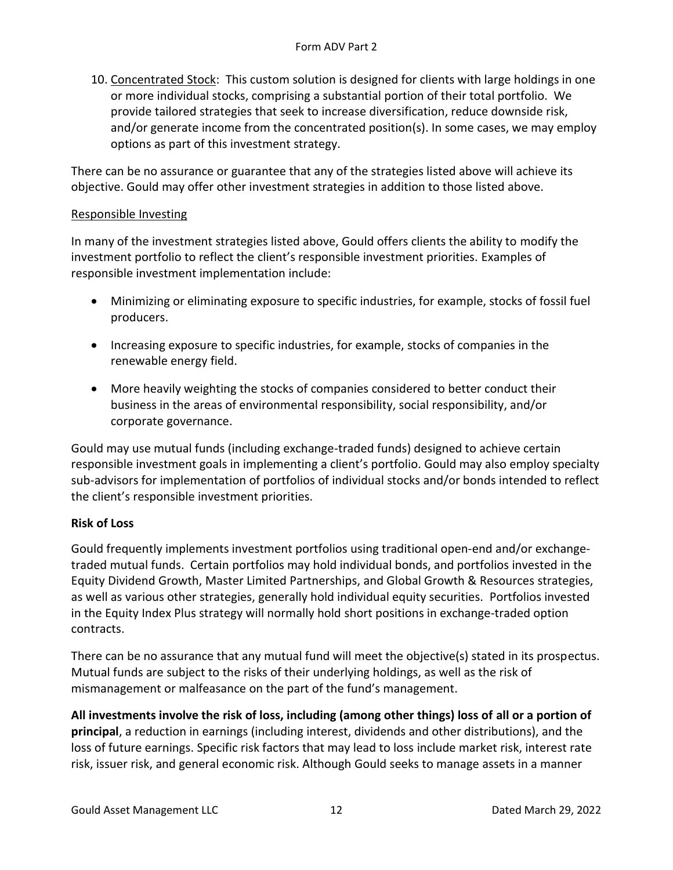10. Concentrated Stock: This custom solution is designed for clients with large holdings in one or more individual stocks, comprising a substantial portion of their total portfolio. We provide tailored strategies that seek to increase diversification, reduce downside risk, and/or generate income from the concentrated position(s). In some cases, we may employ options as part of this investment strategy.

There can be no assurance or guarantee that any of the strategies listed above will achieve its objective. Gould may offer other investment strategies in addition to those listed above.

### Responsible Investing

In many of the investment strategies listed above, Gould offers clients the ability to modify the investment portfolio to reflect the client's responsible investment priorities. Examples of responsible investment implementation include:

- Minimizing or eliminating exposure to specific industries, for example, stocks of fossil fuel producers.
- Increasing exposure to specific industries, for example, stocks of companies in the renewable energy field.
- More heavily weighting the stocks of companies considered to better conduct their business in the areas of environmental responsibility, social responsibility, and/or corporate governance.

Gould may use mutual funds (including exchange-traded funds) designed to achieve certain responsible investment goals in implementing a client's portfolio. Gould may also employ specialty sub-advisors for implementation of portfolios of individual stocks and/or bonds intended to reflect the client's responsible investment priorities.

### <span id="page-11-0"></span>**Risk of Loss**

Gould frequently implements investment portfolios using traditional open-end and/or exchangetraded mutual funds. Certain portfolios may hold individual bonds, and portfolios invested in the Equity Dividend Growth, Master Limited Partnerships, and Global Growth & Resources strategies, as well as various other strategies, generally hold individual equity securities. Portfolios invested in the Equity Index Plus strategy will normally hold short positions in exchange-traded option contracts.

There can be no assurance that any mutual fund will meet the objective(s) stated in its prospectus. Mutual funds are subject to the risks of their underlying holdings, as well as the risk of mismanagement or malfeasance on the part of the fund's management.

**All investments involve the risk of loss, including (among other things) loss of all or a portion of principal**, a reduction in earnings (including interest, dividends and other distributions), and the loss of future earnings. Specific risk factors that may lead to loss include market risk, interest rate risk, issuer risk, and general economic risk. Although Gould seeks to manage assets in a manner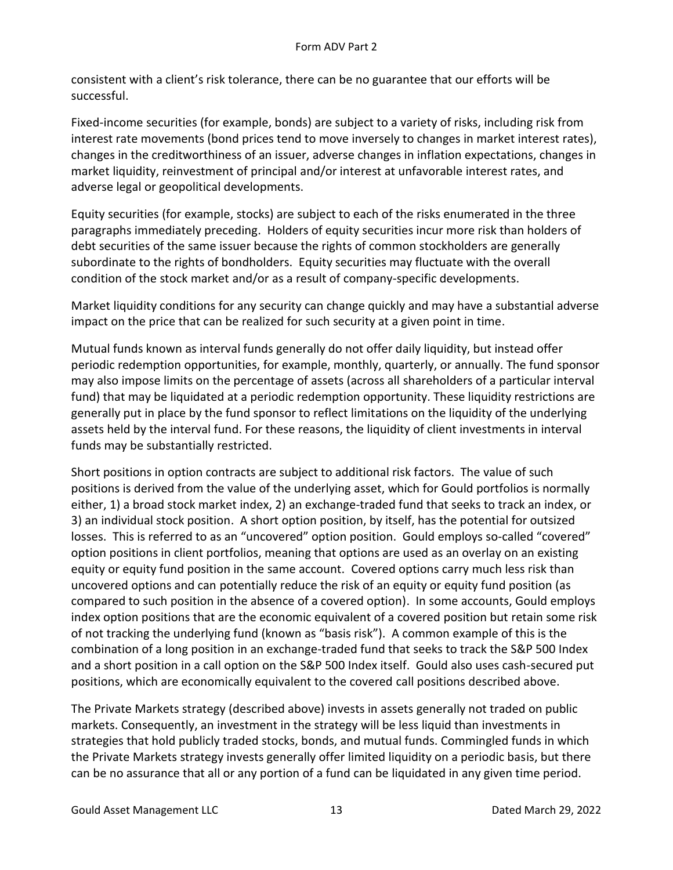consistent with a client's risk tolerance, there can be no guarantee that our efforts will be successful.

Fixed-income securities (for example, bonds) are subject to a variety of risks, including risk from interest rate movements (bond prices tend to move inversely to changes in market interest rates), changes in the creditworthiness of an issuer, adverse changes in inflation expectations, changes in market liquidity, reinvestment of principal and/or interest at unfavorable interest rates, and adverse legal or geopolitical developments.

Equity securities (for example, stocks) are subject to each of the risks enumerated in the three paragraphs immediately preceding. Holders of equity securities incur more risk than holders of debt securities of the same issuer because the rights of common stockholders are generally subordinate to the rights of bondholders. Equity securities may fluctuate with the overall condition of the stock market and/or as a result of company-specific developments.

Market liquidity conditions for any security can change quickly and may have a substantial adverse impact on the price that can be realized for such security at a given point in time.

Mutual funds known as interval funds generally do not offer daily liquidity, but instead offer periodic redemption opportunities, for example, monthly, quarterly, or annually. The fund sponsor may also impose limits on the percentage of assets (across all shareholders of a particular interval fund) that may be liquidated at a periodic redemption opportunity. These liquidity restrictions are generally put in place by the fund sponsor to reflect limitations on the liquidity of the underlying assets held by the interval fund. For these reasons, the liquidity of client investments in interval funds may be substantially restricted.

Short positions in option contracts are subject to additional risk factors. The value of such positions is derived from the value of the underlying asset, which for Gould portfolios is normally either, 1) a broad stock market index, 2) an exchange-traded fund that seeks to track an index, or 3) an individual stock position. A short option position, by itself, has the potential for outsized losses. This is referred to as an "uncovered" option position. Gould employs so-called "covered" option positions in client portfolios, meaning that options are used as an overlay on an existing equity or equity fund position in the same account. Covered options carry much less risk than uncovered options and can potentially reduce the risk of an equity or equity fund position (as compared to such position in the absence of a covered option). In some accounts, Gould employs index option positions that are the economic equivalent of a covered position but retain some risk of not tracking the underlying fund (known as "basis risk"). A common example of this is the combination of a long position in an exchange-traded fund that seeks to track the S&P 500 Index and a short position in a call option on the S&P 500 Index itself. Gould also uses cash-secured put positions, which are economically equivalent to the covered call positions described above.

The Private Markets strategy (described above) invests in assets generally not traded on public markets. Consequently, an investment in the strategy will be less liquid than investments in strategies that hold publicly traded stocks, bonds, and mutual funds. Commingled funds in which the Private Markets strategy invests generally offer limited liquidity on a periodic basis, but there can be no assurance that all or any portion of a fund can be liquidated in any given time period.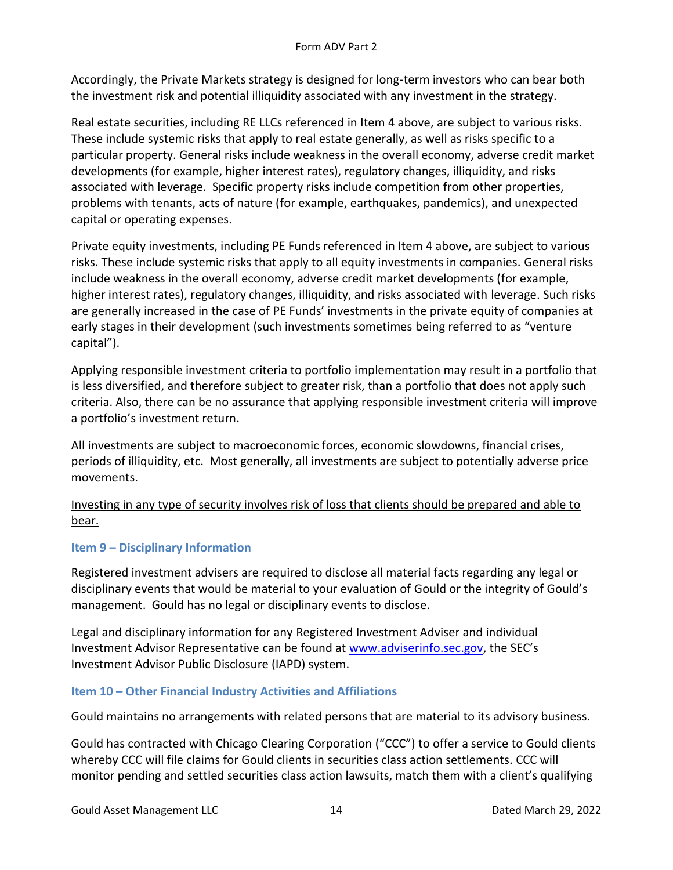Accordingly, the Private Markets strategy is designed for long-term investors who can bear both the investment risk and potential illiquidity associated with any investment in the strategy.

Real estate securities, including RE LLCs referenced in Item 4 above, are subject to various risks. These include systemic risks that apply to real estate generally, as well as risks specific to a particular property. General risks include weakness in the overall economy, adverse credit market developments (for example, higher interest rates), regulatory changes, illiquidity, and risks associated with leverage. Specific property risks include competition from other properties, problems with tenants, acts of nature (for example, earthquakes, pandemics), and unexpected capital or operating expenses.

Private equity investments, including PE Funds referenced in Item 4 above, are subject to various risks. These include systemic risks that apply to all equity investments in companies. General risks include weakness in the overall economy, adverse credit market developments (for example, higher interest rates), regulatory changes, illiquidity, and risks associated with leverage. Such risks are generally increased in the case of PE Funds' investments in the private equity of companies at early stages in their development (such investments sometimes being referred to as "venture capital").

Applying responsible investment criteria to portfolio implementation may result in a portfolio that is less diversified, and therefore subject to greater risk, than a portfolio that does not apply such criteria. Also, there can be no assurance that applying responsible investment criteria will improve a portfolio's investment return.

All investments are subject to macroeconomic forces, economic slowdowns, financial crises, periods of illiquidity, etc. Most generally, all investments are subject to potentially adverse price movements.

Investing in any type of security involves risk of loss that clients should be prepared and able to bear.

### <span id="page-13-0"></span>**Item 9 – Disciplinary Information**

Registered investment advisers are required to disclose all material facts regarding any legal or disciplinary events that would be material to your evaluation of Gould or the integrity of Gould's management. Gould has no legal or disciplinary events to disclose.

Legal and disciplinary information for any Registered Investment Adviser and individual Investment Advisor Representative can be found at [www.adviserinfo.sec.gov](file://///gamdc01/company%20data/Gould%20Asset%20Management/Compliance/Form%20ADV/Compliance%20Staff%20Only/New%20ADV%202%20Work/Jeff%20Fortner%20Files/www.adviserinfo.sec.gov), the SEC's Investment Advisor Public Disclosure (IAPD) system.

# <span id="page-13-1"></span>**Item 10 – Other Financial Industry Activities and Affiliations**

Gould maintains no arrangements with related persons that are material to its advisory business.

Gould has contracted with Chicago Clearing Corporation ("CCC") to offer a service to Gould clients whereby CCC will file claims for Gould clients in securities class action settlements. CCC will monitor pending and settled securities class action lawsuits, match them with a client's qualifying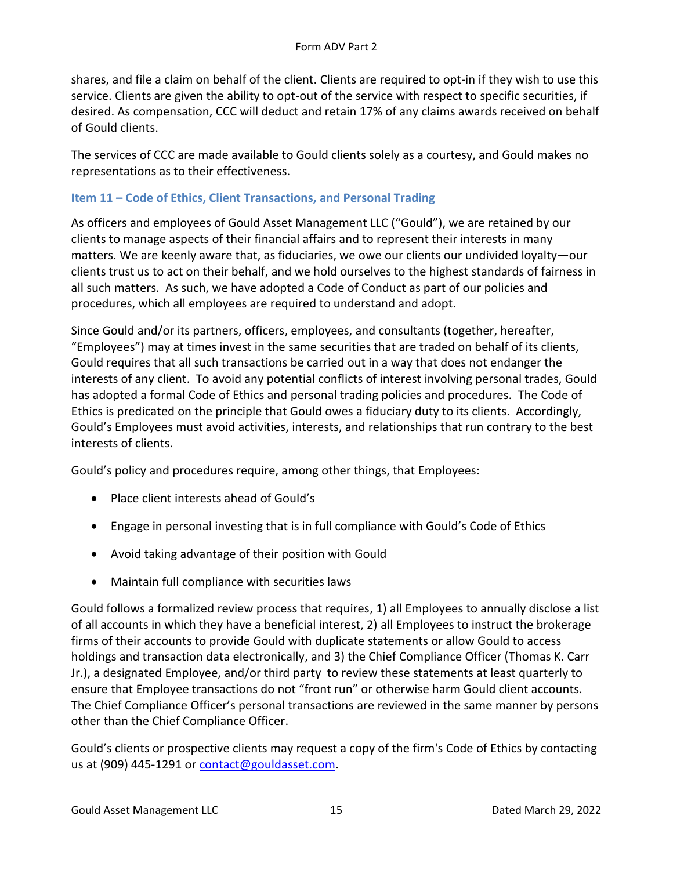shares, and file a claim on behalf of the client. Clients are required to opt-in if they wish to use this service. Clients are given the ability to opt-out of the service with respect to specific securities, if desired. As compensation, CCC will deduct and retain 17% of any claims awards received on behalf of Gould clients.

The services of CCC are made available to Gould clients solely as a courtesy, and Gould makes no representations as to their effectiveness.

# <span id="page-14-0"></span>**Item 11 – Code of Ethics, Client Transactions, and Personal Trading**

As officers and employees of Gould Asset Management LLC ("Gould"), we are retained by our clients to manage aspects of their financial affairs and to represent their interests in many matters. We are keenly aware that, as fiduciaries, we owe our clients our undivided loyalty—our clients trust us to act on their behalf, and we hold ourselves to the highest standards of fairness in all such matters. As such, we have adopted a Code of Conduct as part of our policies and procedures, which all employees are required to understand and adopt.

Since Gould and/or its partners, officers, employees, and consultants (together, hereafter, "Employees") may at times invest in the same securities that are traded on behalf of its clients, Gould requires that all such transactions be carried out in a way that does not endanger the interests of any client. To avoid any potential conflicts of interest involving personal trades, Gould has adopted a formal Code of Ethics and personal trading policies and procedures. The Code of Ethics is predicated on the principle that Gould owes a fiduciary duty to its clients. Accordingly, Gould's Employees must avoid activities, interests, and relationships that run contrary to the best interests of clients.

Gould's policy and procedures require, among other things, that Employees:

- Place client interests ahead of Gould's
- Engage in personal investing that is in full compliance with Gould's Code of Ethics
- Avoid taking advantage of their position with Gould
- Maintain full compliance with securities laws

Gould follows a formalized review process that requires, 1) all Employees to annually disclose a list of all accounts in which they have a beneficial interest, 2) all Employees to instruct the brokerage firms of their accounts to provide Gould with duplicate statements or allow Gould to access holdings and transaction data electronically, and 3) the Chief Compliance Officer (Thomas K. Carr Jr.), a designated Employee, and/or third party to review these statements at least quarterly to ensure that Employee transactions do not "front run" or otherwise harm Gould client accounts. The Chief Compliance Officer's personal transactions are reviewed in the same manner by persons other than the Chief Compliance Officer.

Gould's clients or prospective clients may request a copy of the firm's Code of Ethics by contacting us at (909) 445-1291 or [contact@gouldasset.com.](mailto:zangelo@gouldasset.com)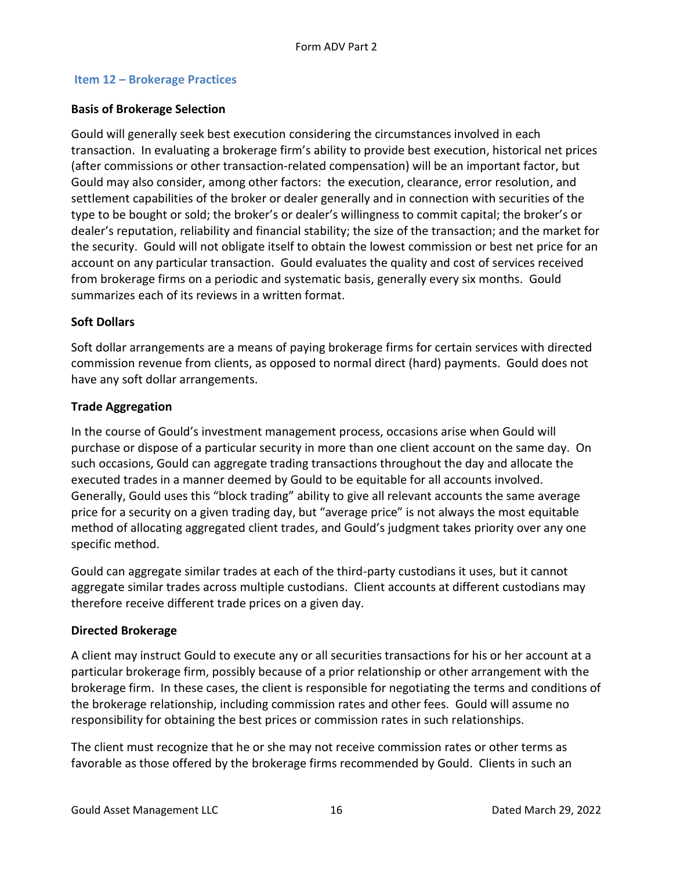#### <span id="page-15-0"></span>**Item 12 – Brokerage Practices**

#### <span id="page-15-1"></span>**Basis of Brokerage Selection**

Gould will generally seek best execution considering the circumstances involved in each transaction. In evaluating a brokerage firm's ability to provide best execution, historical net prices (after commissions or other transaction-related compensation) will be an important factor, but Gould may also consider, among other factors: the execution, clearance, error resolution, and settlement capabilities of the broker or dealer generally and in connection with securities of the type to be bought or sold; the broker's or dealer's willingness to commit capital; the broker's or dealer's reputation, reliability and financial stability; the size of the transaction; and the market for the security. Gould will not obligate itself to obtain the lowest commission or best net price for an account on any particular transaction. Gould evaluates the quality and cost of services received from brokerage firms on a periodic and systematic basis, generally every six months. Gould summarizes each of its reviews in a written format.

#### <span id="page-15-2"></span>**Soft Dollars**

Soft dollar arrangements are a means of paying brokerage firms for certain services with directed commission revenue from clients, as opposed to normal direct (hard) payments. Gould does not have any soft dollar arrangements.

#### <span id="page-15-3"></span>**Trade Aggregation**

In the course of Gould's investment management process, occasions arise when Gould will purchase or dispose of a particular security in more than one client account on the same day. On such occasions, Gould can aggregate trading transactions throughout the day and allocate the executed trades in a manner deemed by Gould to be equitable for all accounts involved. Generally, Gould uses this "block trading" ability to give all relevant accounts the same average price for a security on a given trading day, but "average price" is not always the most equitable method of allocating aggregated client trades, and Gould's judgment takes priority over any one specific method.

Gould can aggregate similar trades at each of the third-party custodians it uses, but it cannot aggregate similar trades across multiple custodians. Client accounts at different custodians may therefore receive different trade prices on a given day.

#### <span id="page-15-4"></span>**Directed Brokerage**

A client may instruct Gould to execute any or all securities transactions for his or her account at a particular brokerage firm, possibly because of a prior relationship or other arrangement with the brokerage firm. In these cases, the client is responsible for negotiating the terms and conditions of the brokerage relationship, including commission rates and other fees. Gould will assume no responsibility for obtaining the best prices or commission rates in such relationships.

The client must recognize that he or she may not receive commission rates or other terms as favorable as those offered by the brokerage firms recommended by Gould. Clients in such an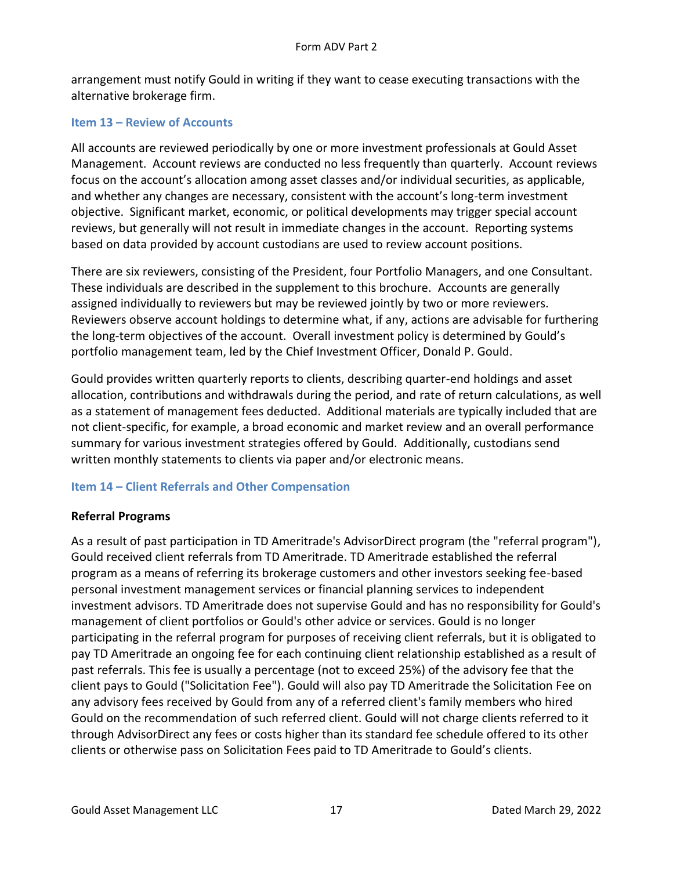arrangement must notify Gould in writing if they want to cease executing transactions with the alternative brokerage firm.

### <span id="page-16-0"></span>**Item 13 – Review of Accounts**

All accounts are reviewed periodically by one or more investment professionals at Gould Asset Management. Account reviews are conducted no less frequently than quarterly. Account reviews focus on the account's allocation among asset classes and/or individual securities, as applicable, and whether any changes are necessary, consistent with the account's long-term investment objective. Significant market, economic, or political developments may trigger special account reviews, but generally will not result in immediate changes in the account. Reporting systems based on data provided by account custodians are used to review account positions.

There are six reviewers, consisting of the President, four Portfolio Managers, and one Consultant. These individuals are described in the supplement to this brochure. Accounts are generally assigned individually to reviewers but may be reviewed jointly by two or more reviewers. Reviewers observe account holdings to determine what, if any, actions are advisable for furthering the long-term objectives of the account. Overall investment policy is determined by Gould's portfolio management team, led by the Chief Investment Officer, Donald P. Gould.

Gould provides written quarterly reports to clients, describing quarter-end holdings and asset allocation, contributions and withdrawals during the period, and rate of return calculations, as well as a statement of management fees deducted. Additional materials are typically included that are not client-specific, for example, a broad economic and market review and an overall performance summary for various investment strategies offered by Gould. Additionally, custodians send written monthly statements to clients via paper and/or electronic means.

### <span id="page-16-1"></span>**Item 14 – Client Referrals and Other Compensation**

### <span id="page-16-2"></span>**Referral Programs**

As a result of past participation in TD Ameritrade's AdvisorDirect program (the "referral program"), Gould received client referrals from TD Ameritrade. TD Ameritrade established the referral program as a means of referring its brokerage customers and other investors seeking fee-based personal investment management services or financial planning services to independent investment advisors. TD Ameritrade does not supervise Gould and has no responsibility for Gould's management of client portfolios or Gould's other advice or services. Gould is no longer participating in the referral program for purposes of receiving client referrals, but it is obligated to pay TD Ameritrade an ongoing fee for each continuing client relationship established as a result of past referrals. This fee is usually a percentage (not to exceed 25%) of the advisory fee that the client pays to Gould ("Solicitation Fee"). Gould will also pay TD Ameritrade the Solicitation Fee on any advisory fees received by Gould from any of a referred client's family members who hired Gould on the recommendation of such referred client. Gould will not charge clients referred to it through AdvisorDirect any fees or costs higher than its standard fee schedule offered to its other clients or otherwise pass on Solicitation Fees paid to TD Ameritrade to Gould's clients.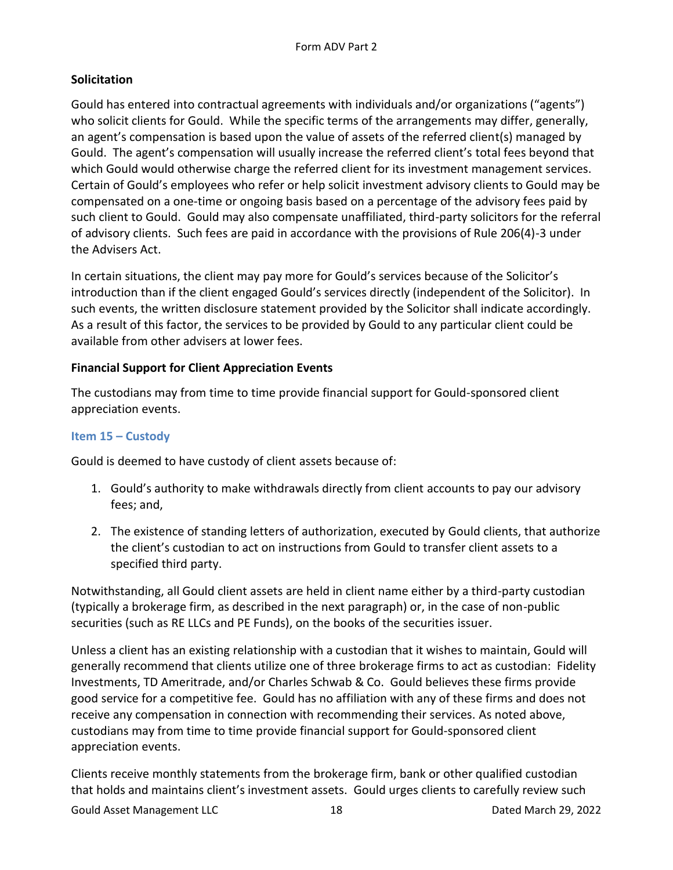# <span id="page-17-0"></span>**Solicitation**

Gould has entered into contractual agreements with individuals and/or organizations ("agents") who solicit clients for Gould. While the specific terms of the arrangements may differ, generally, an agent's compensation is based upon the value of assets of the referred client(s) managed by Gould. The agent's compensation will usually increase the referred client's total fees beyond that which Gould would otherwise charge the referred client for its investment management services. Certain of Gould's employees who refer or help solicit investment advisory clients to Gould may be compensated on a one-time or ongoing basis based on a percentage of the advisory fees paid by such client to Gould. Gould may also compensate unaffiliated, third-party solicitors for the referral of advisory clients. Such fees are paid in accordance with the provisions of Rule 206(4)-3 under the Advisers Act.

In certain situations, the client may pay more for Gould's services because of the Solicitor's introduction than if the client engaged Gould's services directly (independent of the Solicitor). In such events, the written disclosure statement provided by the Solicitor shall indicate accordingly. As a result of this factor, the services to be provided by Gould to any particular client could be available from other advisers at lower fees.

### <span id="page-17-1"></span>**Financial Support for Client Appreciation Events**

The custodians may from time to time provide financial support for Gould-sponsored client appreciation events.

### <span id="page-17-2"></span>**Item 15 – Custody**

Gould is deemed to have custody of client assets because of:

- 1. Gould's authority to make withdrawals directly from client accounts to pay our advisory fees; and,
- 2. The existence of standing letters of authorization, executed by Gould clients, that authorize the client's custodian to act on instructions from Gould to transfer client assets to a specified third party.

Notwithstanding, all Gould client assets are held in client name either by a third-party custodian (typically a brokerage firm, as described in the next paragraph) or, in the case of non-public securities (such as RE LLCs and PE Funds), on the books of the securities issuer.

Unless a client has an existing relationship with a custodian that it wishes to maintain, Gould will generally recommend that clients utilize one of three brokerage firms to act as custodian: Fidelity Investments, TD Ameritrade, and/or Charles Schwab & Co. Gould believes these firms provide good service for a competitive fee. Gould has no affiliation with any of these firms and does not receive any compensation in connection with recommending their services. As noted above, custodians may from time to time provide financial support for Gould-sponsored client appreciation events.

Clients receive monthly statements from the brokerage firm, bank or other qualified custodian that holds and maintains client's investment assets. Gould urges clients to carefully review such

Gould Asset Management LLC and the state of the 18 data of the US Dated March 29, 2022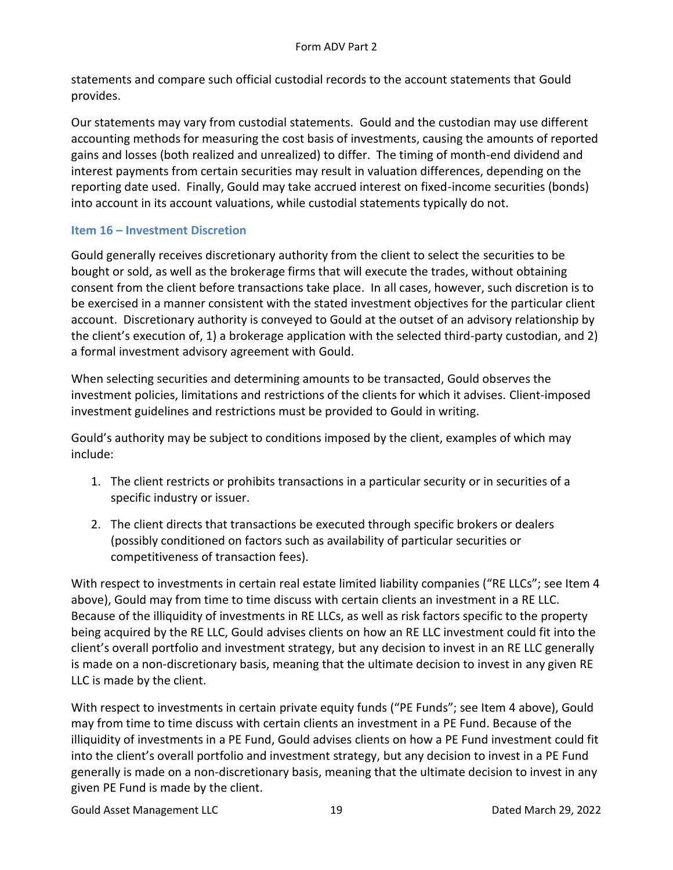statements and compare such official custodial records to the account statements that Gould provides.

Our statements may vary from custodial statements. Gould and the custodian may use different accounting methods for measuring the cost basis of investments, causing the amounts of reported gains and losses (both realized and unrealized) to differ. The timing of month-end dividend and interest payments from certain securities may result in valuation differences, depending on the reporting date used. Finally, Gould may take accrued interest on fixed-income securities (bonds) into account in its account valuations, while custodial statements typically do not.

### <span id="page-18-0"></span>**Item 16 – Investment Discretion**

Gould generally receives discretionary authority from the client to select the securities to be bought or sold, as well as the brokerage firms that will execute the trades, without obtaining consent from the client before transactions take place. In all cases, however, such discretion is to be exercised in a manner consistent with the stated investment objectives for the particular client account. Discretionary authority is conveyed to Gould at the outset of an advisory relationship by the client's execution of, 1) a brokerage application with the selected third-party custodian, and 2) a formal investment advisory agreement with Gould.

When selecting securities and determining amounts to be transacted, Gould observes the investment policies, limitations and restrictions of the clients for which it advises. Client-imposed investment guidelines and restrictions must be provided to Gould in writing.

Gould's authority may be subject to conditions imposed by the client, examples of which may include:

- 1. The client restricts or prohibits transactions in a particular security or in securities of a specific industry or issuer.
- 2. The client directs that transactions be executed through specific brokers or dealers (possibly conditioned on factors such as availability of particular securities or competitiveness of transaction fees).

With respect to investments in certain real estate limited liability companies ("RE LLCs"; see Item 4 above), Gould may from time to time discuss with certain clients an investment in a RE LLC. Because of the illiquidity of investments in RE LLCs, as well as risk factors specific to the property being acquired by the RE LLC, Gould advises clients on how an RE LLC investment could fit into the client's overall portfolio and investment strategy, but any decision to invest in an RE LLC generally is made on a non-discretionary basis, meaning that the ultimate decision to invest in any given RE LLC is made by the client.

With respect to investments in certain private equity funds ("PE Funds"; see Item 4 above), Gould may from time to time discuss with certain clients an investment in a PE Fund. Because of the illiquidity of investments in a PE Fund, Gould advises clients on how a PE Fund investment could fit into the client's overall portfolio and investment strategy, but any decision to invest in a PE Fund generally is made on a non-discretionary basis, meaning that the ultimate decision to invest in any given PE Fund is made by the client.

Gould Asset Management LLC and the control of the 19 dates of the Dated March 29, 2022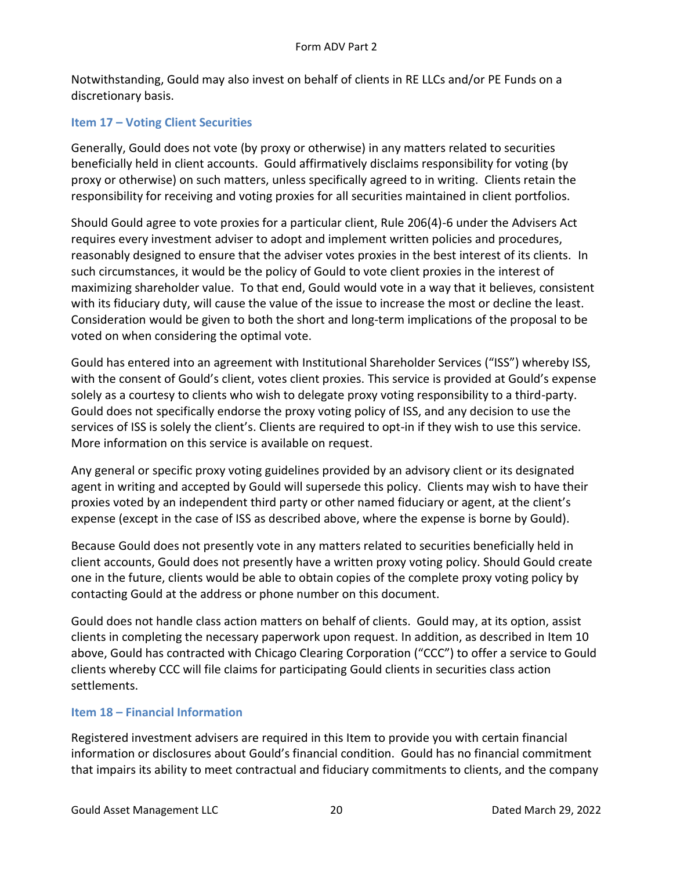Notwithstanding, Gould may also invest on behalf of clients in RE LLCs and/or PE Funds on a discretionary basis.

# <span id="page-19-0"></span>**Item 17 – Voting Client Securities**

Generally, Gould does not vote (by proxy or otherwise) in any matters related to securities beneficially held in client accounts. Gould affirmatively disclaims responsibility for voting (by proxy or otherwise) on such matters, unless specifically agreed to in writing. Clients retain the responsibility for receiving and voting proxies for all securities maintained in client portfolios.

Should Gould agree to vote proxies for a particular client, Rule 206(4)-6 under the Advisers Act requires every investment adviser to adopt and implement written policies and procedures, reasonably designed to ensure that the adviser votes proxies in the best interest of its clients. In such circumstances, it would be the policy of Gould to vote client proxies in the interest of maximizing shareholder value. To that end, Gould would vote in a way that it believes, consistent with its fiduciary duty, will cause the value of the issue to increase the most or decline the least. Consideration would be given to both the short and long-term implications of the proposal to be voted on when considering the optimal vote.

Gould has entered into an agreement with Institutional Shareholder Services ("ISS") whereby ISS, with the consent of Gould's client, votes client proxies. This service is provided at Gould's expense solely as a courtesy to clients who wish to delegate proxy voting responsibility to a third-party. Gould does not specifically endorse the proxy voting policy of ISS, and any decision to use the services of ISS is solely the client's. Clients are required to opt-in if they wish to use this service. More information on this service is available on request.

Any general or specific proxy voting guidelines provided by an advisory client or its designated agent in writing and accepted by Gould will supersede this policy. Clients may wish to have their proxies voted by an independent third party or other named fiduciary or agent, at the client's expense (except in the case of ISS as described above, where the expense is borne by Gould).

Because Gould does not presently vote in any matters related to securities beneficially held in client accounts, Gould does not presently have a written proxy voting policy. Should Gould create one in the future, clients would be able to obtain copies of the complete proxy voting policy by contacting Gould at the address or phone number on this document.

Gould does not handle class action matters on behalf of clients. Gould may, at its option, assist clients in completing the necessary paperwork upon request. In addition, as described in Item 10 above, Gould has contracted with Chicago Clearing Corporation ("CCC") to offer a service to Gould clients whereby CCC will file claims for participating Gould clients in securities class action settlements.

### <span id="page-19-1"></span>**Item 18 – Financial Information**

Registered investment advisers are required in this Item to provide you with certain financial information or disclosures about Gould's financial condition. Gould has no financial commitment that impairs its ability to meet contractual and fiduciary commitments to clients, and the company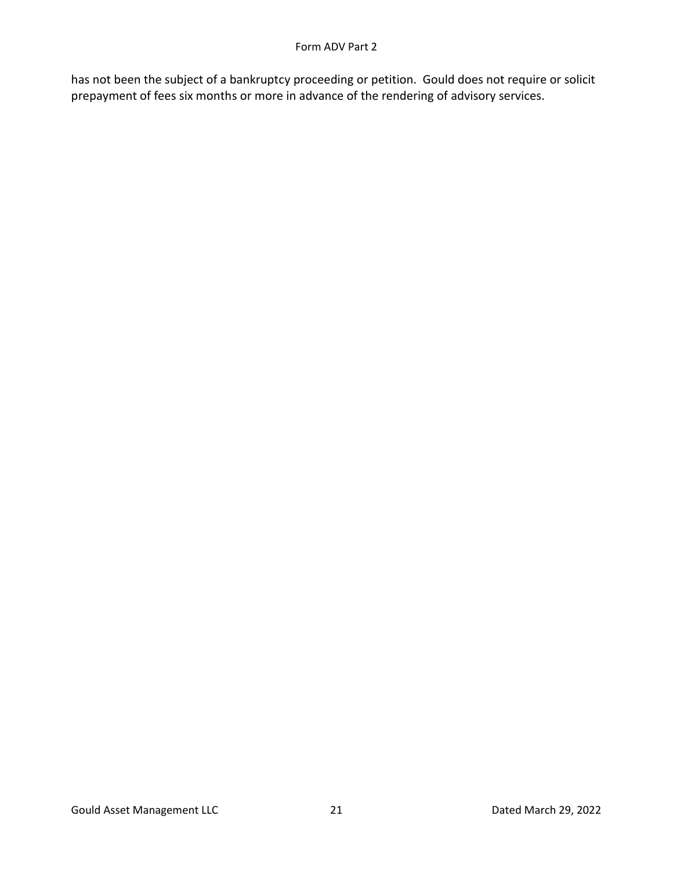has not been the subject of a bankruptcy proceeding or petition. Gould does not require or solicit prepayment of fees six months or more in advance of the rendering of advisory services.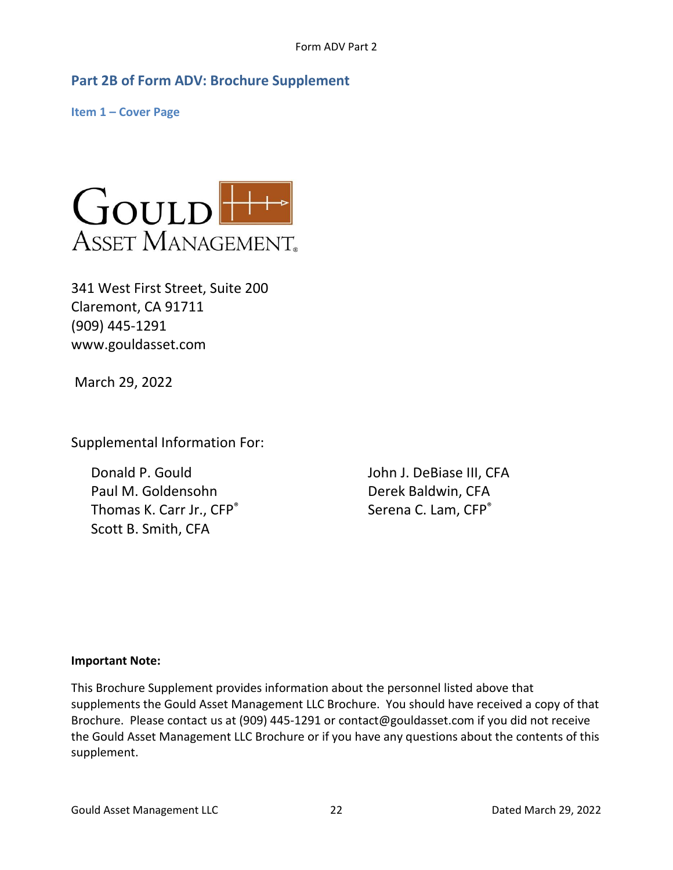# <span id="page-21-0"></span>**Part 2B of Form ADV: Brochure Supplement**

<span id="page-21-1"></span>**Item 1 – Cover Page**



341 West First Street, Suite 200 Claremont, CA 91711 (909) 445-1291 www.gouldasset.com

March 29, 2022

Supplemental Information For:

Donald P. Gould **John J. DeBiase III, CFA** Paul M. Goldensohn Derek Baldwin, CFA Thomas K. Carr Jr., CFP<sup>®</sup> Scott B. Smith, CFA

Serena C. Lam, CFP®

### **Important Note:**

This Brochure Supplement provides information about the personnel listed above that supplements the Gould Asset Management LLC Brochure. You should have received a copy of that Brochure. Please contact us at (909) 445-1291 or contact@gouldasset.com if you did not receive the Gould Asset Management LLC Brochure or if you have any questions about the contents of this supplement.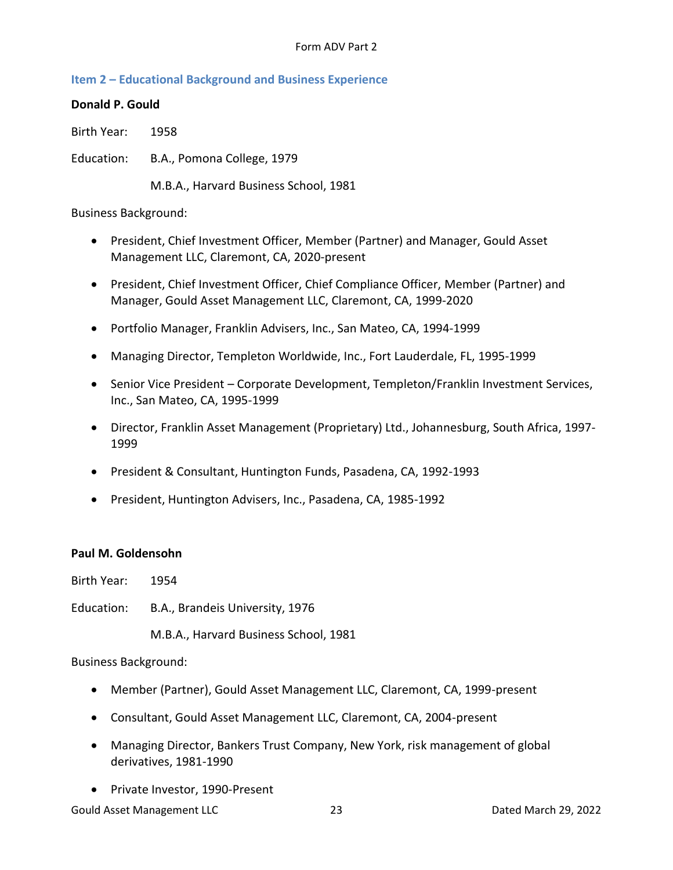### <span id="page-22-0"></span>**Item 2 – Educational Background and Business Experience**

### **Donald P. Gould**

Birth Year: 1958

Education: B.A., Pomona College, 1979

M.B.A., Harvard Business School, 1981

### Business Background:

- President, Chief Investment Officer, Member (Partner) and Manager, Gould Asset Management LLC, Claremont, CA, 2020-present
- President, Chief Investment Officer, Chief Compliance Officer, Member (Partner) and Manager, Gould Asset Management LLC, Claremont, CA, 1999-2020
- Portfolio Manager, Franklin Advisers, Inc., San Mateo, CA, 1994-1999
- Managing Director, Templeton Worldwide, Inc., Fort Lauderdale, FL, 1995-1999
- Senior Vice President Corporate Development, Templeton/Franklin Investment Services, Inc., San Mateo, CA, 1995-1999
- Director, Franklin Asset Management (Proprietary) Ltd., Johannesburg, South Africa, 1997- 1999
- President & Consultant, Huntington Funds, Pasadena, CA, 1992-1993
- President, Huntington Advisers, Inc., Pasadena, CA, 1985-1992

### **Paul M. Goldensohn**

- Birth Year: 1954
- Education: B.A., Brandeis University, 1976

M.B.A., Harvard Business School, 1981

Business Background:

- Member (Partner), Gould Asset Management LLC, Claremont, CA, 1999-present
- Consultant, Gould Asset Management LLC, Claremont, CA, 2004-present
- Managing Director, Bankers Trust Company, New York, risk management of global derivatives, 1981-1990
- Private Investor, 1990-Present

Gould Asset Management LLC 23 Dated March 29, 2022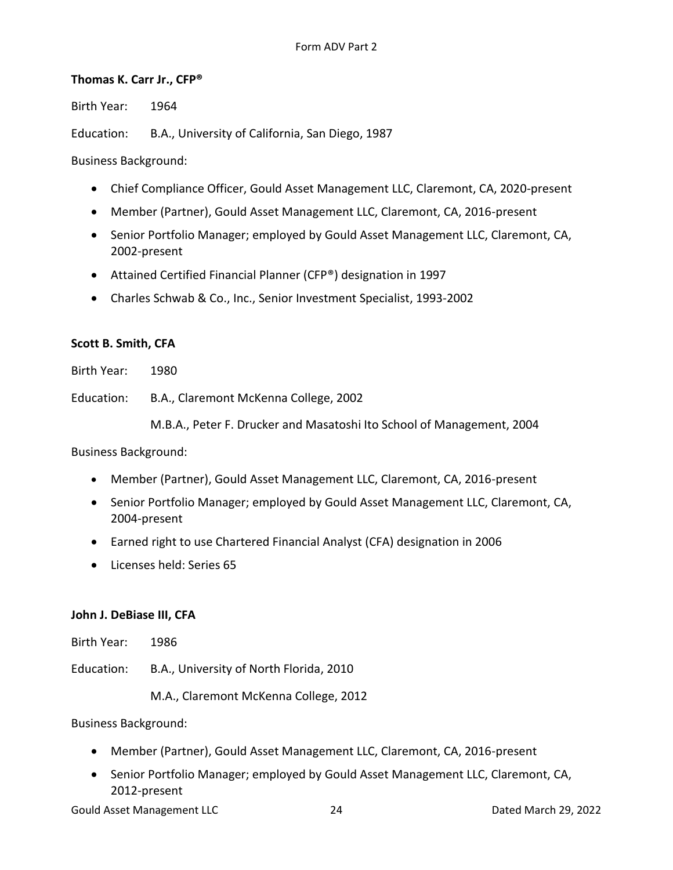### **Thomas K. Carr Jr., CFP®**

Birth Year: 1964

Education: B.A., University of California, San Diego, 1987

Business Background:

- Chief Compliance Officer, Gould Asset Management LLC, Claremont, CA, 2020-present
- Member (Partner), Gould Asset Management LLC, Claremont, CA, 2016-present
- Senior Portfolio Manager; employed by Gould Asset Management LLC, Claremont, CA, 2002-present
- Attained Certified Financial Planner (CFP®) designation in 1997
- Charles Schwab & Co., Inc., Senior Investment Specialist, 1993-2002

### **Scott B. Smith, CFA**

Birth Year: 1980

Education: B.A., Claremont McKenna College, 2002

M.B.A., Peter F. Drucker and Masatoshi Ito School of Management, 2004

Business Background:

- Member (Partner), Gould Asset Management LLC, Claremont, CA, 2016-present
- Senior Portfolio Manager; employed by Gould Asset Management LLC, Claremont, CA, 2004-present
- Earned right to use Chartered Financial Analyst (CFA) designation in 2006
- Licenses held: Series 65

#### **John J. DeBiase III, CFA**

Birth Year: 1986

Education: B.A., University of North Florida, 2010

M.A., Claremont McKenna College, 2012

Business Background:

- Member (Partner), Gould Asset Management LLC, Claremont, CA, 2016-present
- Senior Portfolio Manager; employed by Gould Asset Management LLC, Claremont, CA, 2012-present

Gould Asset Management LLC and 24 Dated March 29, 2022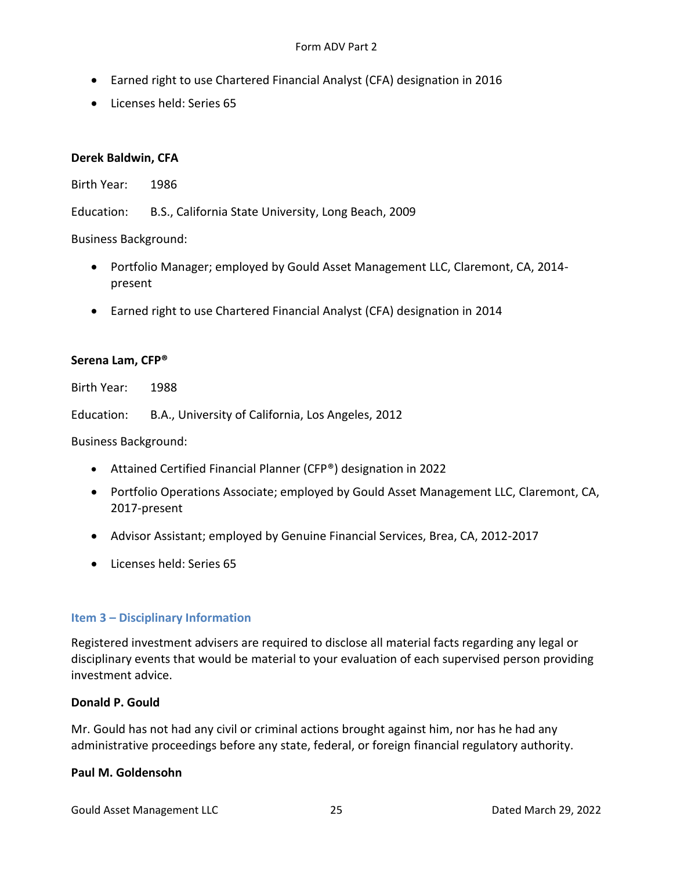#### Form ADV Part 2

- Earned right to use Chartered Financial Analyst (CFA) designation in 2016
- Licenses held: Series 65

#### **Derek Baldwin, CFA**

Birth Year: 1986

Education: B.S., California State University, Long Beach, 2009

Business Background:

- Portfolio Manager; employed by Gould Asset Management LLC, Claremont, CA, 2014 present
- Earned right to use Chartered Financial Analyst (CFA) designation in 2014

#### **Serena Lam, CFP®**

Birth Year: 1988

Education: B.A., University of California, Los Angeles, 2012

Business Background:

- Attained Certified Financial Planner (CFP®) designation in 2022
- Portfolio Operations Associate; employed by Gould Asset Management LLC, Claremont, CA, 2017-present
- Advisor Assistant; employed by Genuine Financial Services, Brea, CA, 2012-2017
- Licenses held: Series 65

#### <span id="page-24-0"></span>**Item 3 – Disciplinary Information**

Registered investment advisers are required to disclose all material facts regarding any legal or disciplinary events that would be material to your evaluation of each supervised person providing investment advice.

#### **Donald P. Gould**

Mr. Gould has not had any civil or criminal actions brought against him, nor has he had any administrative proceedings before any state, federal, or foreign financial regulatory authority.

#### **Paul M. Goldensohn**

Gould Asset Management LLC and 25 Dated March 29, 2022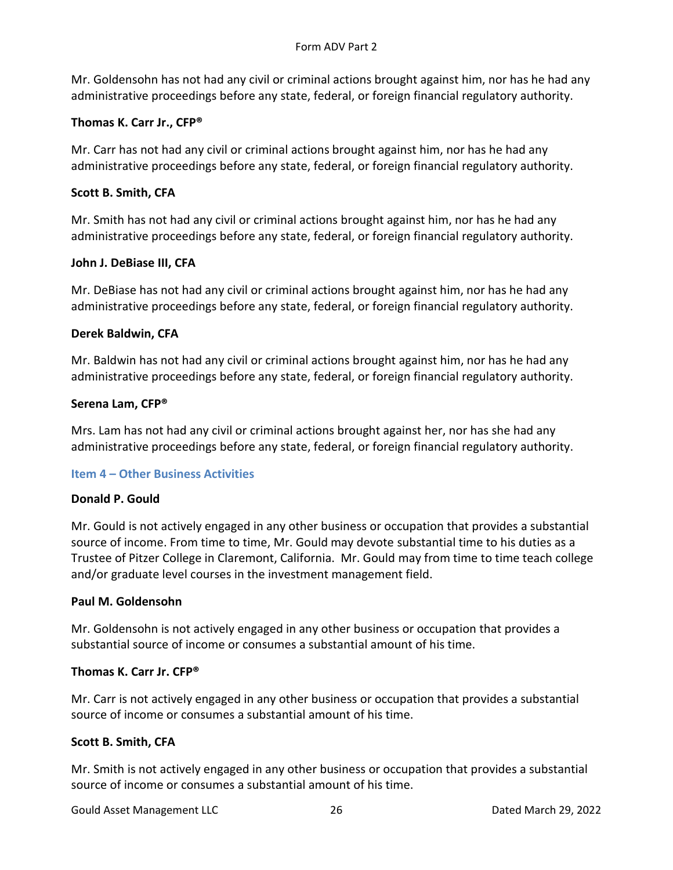Mr. Goldensohn has not had any civil or criminal actions brought against him, nor has he had any administrative proceedings before any state, federal, or foreign financial regulatory authority.

# **Thomas K. Carr Jr., CFP®**

Mr. Carr has not had any civil or criminal actions brought against him, nor has he had any administrative proceedings before any state, federal, or foreign financial regulatory authority.

# **Scott B. Smith, CFA**

Mr. Smith has not had any civil or criminal actions brought against him, nor has he had any administrative proceedings before any state, federal, or foreign financial regulatory authority.

### **John J. DeBiase III, CFA**

Mr. DeBiase has not had any civil or criminal actions brought against him, nor has he had any administrative proceedings before any state, federal, or foreign financial regulatory authority.

### **Derek Baldwin, CFA**

Mr. Baldwin has not had any civil or criminal actions brought against him, nor has he had any administrative proceedings before any state, federal, or foreign financial regulatory authority.

### **Serena Lam, CFP®**

Mrs. Lam has not had any civil or criminal actions brought against her, nor has she had any administrative proceedings before any state, federal, or foreign financial regulatory authority.

### <span id="page-25-0"></span>**Item 4 – Other Business Activities**

### **Donald P. Gould**

Mr. Gould is not actively engaged in any other business or occupation that provides a substantial source of income. From time to time, Mr. Gould may devote substantial time to his duties as a Trustee of Pitzer College in Claremont, California. Mr. Gould may from time to time teach college and/or graduate level courses in the investment management field.

### **Paul M. Goldensohn**

Mr. Goldensohn is not actively engaged in any other business or occupation that provides a substantial source of income or consumes a substantial amount of his time.

### **Thomas K. Carr Jr. CFP®**

Mr. Carr is not actively engaged in any other business or occupation that provides a substantial source of income or consumes a substantial amount of his time.

### **Scott B. Smith, CFA**

Mr. Smith is not actively engaged in any other business or occupation that provides a substantial source of income or consumes a substantial amount of his time.

Gould Asset Management LLC and 26 and 26 Dated March 29, 2022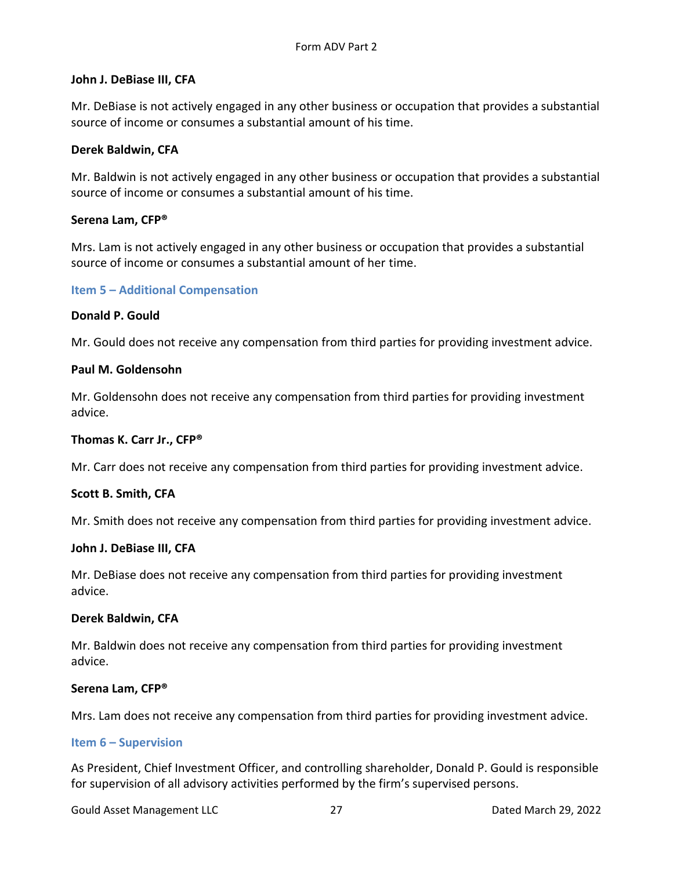#### **John J. DeBiase III, CFA**

Mr. DeBiase is not actively engaged in any other business or occupation that provides a substantial source of income or consumes a substantial amount of his time.

#### **Derek Baldwin, CFA**

Mr. Baldwin is not actively engaged in any other business or occupation that provides a substantial source of income or consumes a substantial amount of his time.

#### **Serena Lam, CFP®**

Mrs. Lam is not actively engaged in any other business or occupation that provides a substantial source of income or consumes a substantial amount of her time.

#### <span id="page-26-0"></span>**Item 5 – Additional Compensation**

#### **Donald P. Gould**

Mr. Gould does not receive any compensation from third parties for providing investment advice.

#### **Paul M. Goldensohn**

Mr. Goldensohn does not receive any compensation from third parties for providing investment advice.

#### **Thomas K. Carr Jr., CFP®**

Mr. Carr does not receive any compensation from third parties for providing investment advice.

#### **Scott B. Smith, CFA**

Mr. Smith does not receive any compensation from third parties for providing investment advice.

#### **John J. DeBiase III, CFA**

Mr. DeBiase does not receive any compensation from third parties for providing investment advice.

#### **Derek Baldwin, CFA**

Mr. Baldwin does not receive any compensation from third parties for providing investment advice.

#### **Serena Lam, CFP®**

Mrs. Lam does not receive any compensation from third parties for providing investment advice.

#### <span id="page-26-1"></span>**Item 6 – Supervision**

As President, Chief Investment Officer, and controlling shareholder, Donald P. Gould is responsible for supervision of all advisory activities performed by the firm's supervised persons.

Gould Asset Management LLC 27 27 Dated March 29, 2022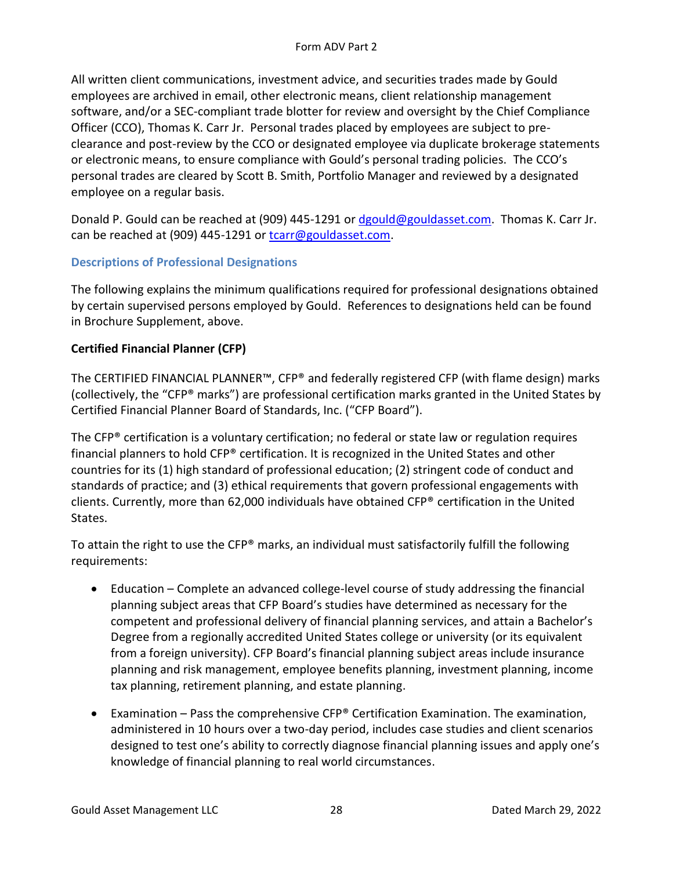All written client communications, investment advice, and securities trades made by Gould employees are archived in email, other electronic means, client relationship management software, and/or a SEC-compliant trade blotter for review and oversight by the Chief Compliance Officer (CCO), Thomas K. Carr Jr. Personal trades placed by employees are subject to preclearance and post-review by the CCO or designated employee via duplicate brokerage statements or electronic means, to ensure compliance with Gould's personal trading policies. The CCO's personal trades are cleared by Scott B. Smith, Portfolio Manager and reviewed by a designated employee on a regular basis.

Donald P. Gould can be reached at (909) 445-1291 or [dgould@gouldasset.com.](mailto:dgould@gouldasset.com) Thomas K. Carr Jr. can be reached at (909) 445-1291 or [tcarr@gouldasset.com.](mailto:tcarr@gouldasset.com)

# **Descriptions of Professional Designations**

The following explains the minimum qualifications required for professional designations obtained by certain supervised persons employed by Gould. References to designations held can be found in Brochure Supplement, above.

### **Certified Financial Planner (CFP)**

The CERTIFIED FINANCIAL PLANNER™, CFP® and federally registered CFP (with flame design) marks (collectively, the "CFP® marks") are professional certification marks granted in the United States by Certified Financial Planner Board of Standards, Inc. ("CFP Board").

The CFP® certification is a voluntary certification; no federal or state law or regulation requires financial planners to hold CFP® certification. It is recognized in the United States and other countries for its (1) high standard of professional education; (2) stringent code of conduct and standards of practice; and (3) ethical requirements that govern professional engagements with clients. Currently, more than 62,000 individuals have obtained CFP® certification in the United States.

To attain the right to use the CFP® marks, an individual must satisfactorily fulfill the following requirements:

- Education Complete an advanced college-level course of study addressing the financial planning subject areas that CFP Board's studies have determined as necessary for the competent and professional delivery of financial planning services, and attain a Bachelor's Degree from a regionally accredited United States college or university (or its equivalent from a foreign university). CFP Board's financial planning subject areas include insurance planning and risk management, employee benefits planning, investment planning, income tax planning, retirement planning, and estate planning.
- **•** Examination Pass the comprehensive CFP<sup>®</sup> Certification Examination. The examination, administered in 10 hours over a two-day period, includes case studies and client scenarios designed to test one's ability to correctly diagnose financial planning issues and apply one's knowledge of financial planning to real world circumstances.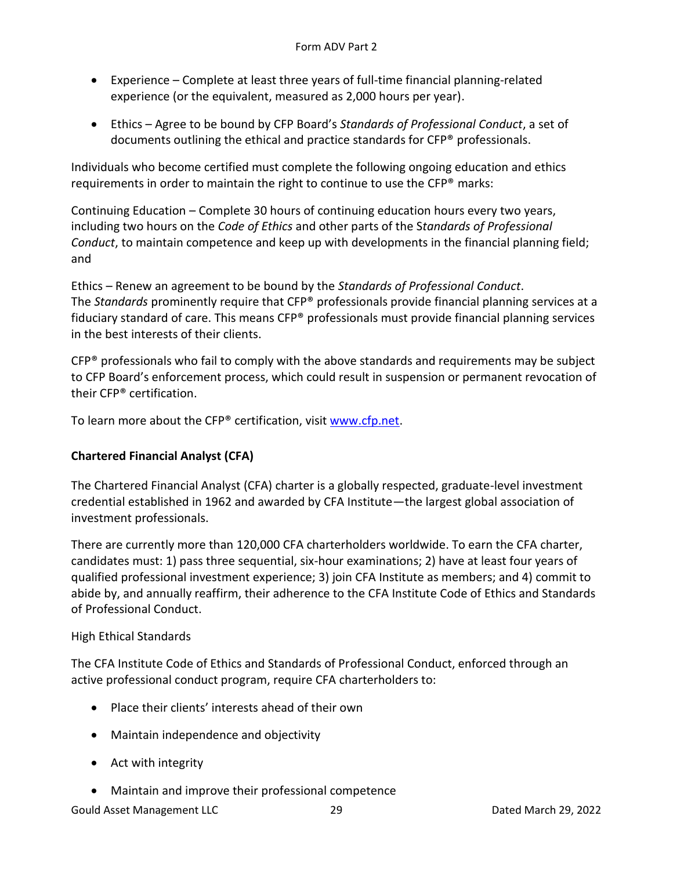- Experience Complete at least three years of full-time financial planning-related experience (or the equivalent, measured as 2,000 hours per year).
- Ethics Agree to be bound by CFP Board's *Standards of Professional Conduct*, a set of documents outlining the ethical and practice standards for CFP® professionals.

Individuals who become certified must complete the following ongoing education and ethics requirements in order to maintain the right to continue to use the CFP® marks:

Continuing Education – Complete 30 hours of continuing education hours every two years, including two hours on the *Code of Ethics* and other parts of the S*tandards of Professional Conduct*, to maintain competence and keep up with developments in the financial planning field; and

Ethics – Renew an agreement to be bound by the *Standards of Professional Conduct*. The *Standards* prominently require that CFP® professionals provide financial planning services at a fiduciary standard of care. This means CFP® professionals must provide financial planning services in the best interests of their clients.

CFP® professionals who fail to comply with the above standards and requirements may be subject to CFP Board's enforcement process, which could result in suspension or permanent revocation of their CFP® certification.

To learn more about the CFP® certification, visit www.cfp.net.

### **Chartered Financial Analyst (CFA)**

The Chartered Financial Analyst (CFA) charter is a globally respected, graduate-level investment credential established in 1962 and awarded by CFA Institute—the largest global association of investment professionals.

There are currently more than 120,000 CFA charterholders worldwide. To earn the CFA charter, candidates must: 1) pass three sequential, six-hour examinations; 2) have at least four years of qualified professional investment experience; 3) join CFA Institute as members; and 4) commit to abide by, and annually reaffirm, their adherence to the CFA Institute Code of Ethics and Standards of Professional Conduct.

### High Ethical Standards

The CFA Institute Code of Ethics and Standards of Professional Conduct, enforced through an active professional conduct program, require CFA charterholders to:

- Place their clients' interests ahead of their own
- Maintain independence and objectivity
- Act with integrity
- Maintain and improve their professional competence

Gould Asset Management LLC and 29 and 29 Dated March 29, 2022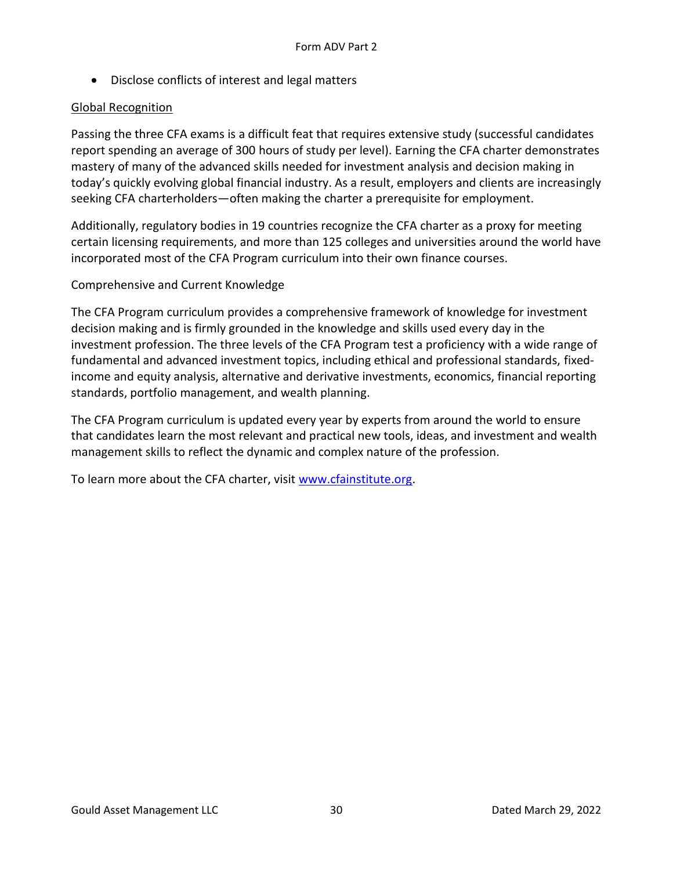• Disclose conflicts of interest and legal matters

### Global Recognition

Passing the three CFA exams is a difficult feat that requires extensive study (successful candidates report spending an average of 300 hours of study per level). Earning the CFA charter demonstrates mastery of many of the advanced skills needed for investment analysis and decision making in today's quickly evolving global financial industry. As a result, employers and clients are increasingly seeking CFA charterholders—often making the charter a prerequisite for employment.

Additionally, regulatory bodies in 19 countries recognize the CFA charter as a proxy for meeting certain licensing requirements, and more than 125 colleges and universities around the world have incorporated most of the CFA Program curriculum into their own finance courses.

### Comprehensive and Current Knowledge

The CFA Program curriculum provides a comprehensive framework of knowledge for investment decision making and is firmly grounded in the knowledge and skills used every day in the investment profession. The three levels of the CFA Program test a proficiency with a wide range of fundamental and advanced investment topics, including ethical and professional standards, fixedincome and equity analysis, alternative and derivative investments, economics, financial reporting standards, portfolio management, and wealth planning.

The CFA Program curriculum is updated every year by experts from around the world to ensure that candidates learn the most relevant and practical new tools, ideas, and investment and wealth management skills to reflect the dynamic and complex nature of the profession.

To learn more about the CFA charter, visit www.cfainstitute.org.